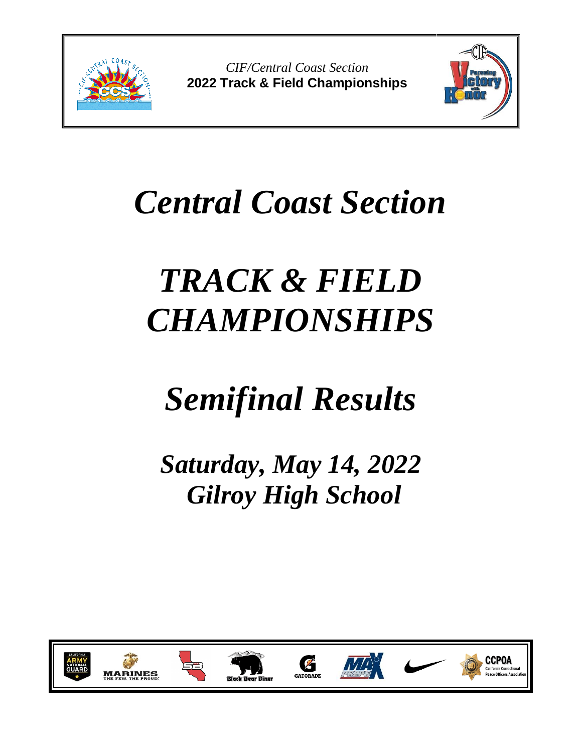

*CIF/Central Coast Section* **2022 Track & Field Championships**



# *Central Coast Section*

# *TRACK & FIELD CHAMPIONSHIPS*

# *Semifinal Results*

*Saturday, May 14, 2022 Gilroy High School*

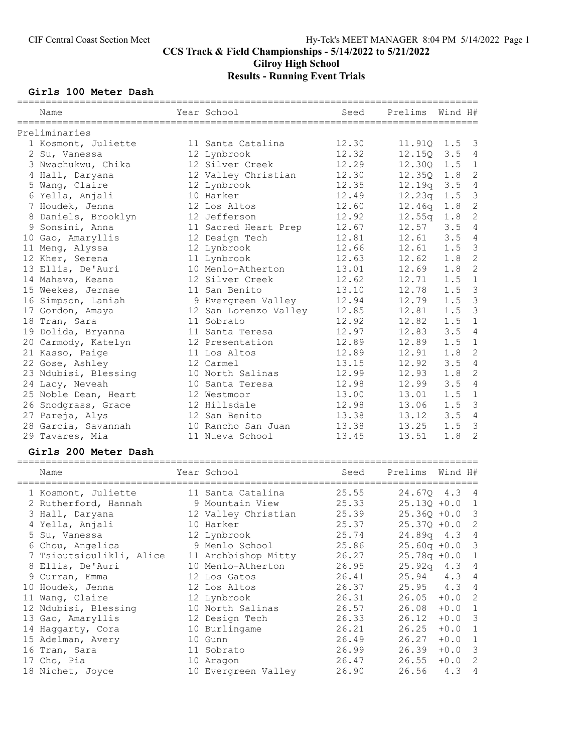# CCS Track & Field Championships - 5/14/2022 to 5/21/2022 Gilroy High School Results - Running Event Trials

#### Girls 100 Meter Dash

| Name                 | Year School           | Seed  | Prelims            | Wind H# |                |
|----------------------|-----------------------|-------|--------------------|---------|----------------|
| Preliminaries        |                       |       |                    |         |                |
| 1 Kosmont, Juliette  | 11 Santa Catalina     | 12.30 | 11.91Q 1.5 3       |         |                |
| 2 Su, Vanessa        | 12 Lynbrook           | 12.32 | 12.150             | 3.5     | $\overline{4}$ |
| 3 Nwachukwu, Chika   | 12 Silver Creek       | 12.29 | 12.300             | 1.5     | $\mathbf{1}$   |
| 4 Hall, Daryana      | 12 Valley Christian   | 12.30 | 12.350             | 1.8     | 2              |
| 5 Wang, Claire       | 12 Lynbrook           | 12.35 | 12.19q             | 3.5     | $\overline{4}$ |
| 6 Yella, Anjali      | 10 Harker             | 12.49 | 12.23q             | 1.5     | $\mathbf{3}$   |
| 7 Houdek, Jenna      | 12 Los Altos          | 12.60 | 12.46 <sub>q</sub> | 1.8     | $\overline{c}$ |
| 8 Daniels, Brooklyn  | 12 Jefferson          | 12.92 | 12.55q             | 1.8     | $\overline{c}$ |
| 9 Sonsini, Anna      | 11 Sacred Heart Prep  | 12.67 | 12.57              | 3.5     | $\overline{4}$ |
| 10 Gao, Amaryllis    | 12 Design Tech        | 12.81 | 12.61              | 3.5     | $\overline{4}$ |
| 11 Meng, Alyssa      | 12 Lynbrook           | 12.66 | 12.61              | 1.5     | $\mathcal{E}$  |
| 12 Kher, Serena      | 11 Lynbrook           | 12.63 | 12.62              | 1.8     | $\overline{c}$ |
| 13 Ellis, De'Auri    | 10 Menlo-Atherton     | 13.01 | 12.69              | 1.8     | 2              |
| 14 Mahava, Keana     | 12 Silver Creek       | 12.62 | 12.71              | 1.5     | $\mathbf{1}$   |
| 15 Weekes, Jernae    | 11 San Benito         | 13.10 | 12.78              | 1.5     | $\overline{3}$ |
| 16 Simpson, Laniah   | 9 Evergreen Valley    | 12.94 | 12.79              | 1.5     | $\mathbf{3}$   |
| 17 Gordon, Amaya     | 12 San Lorenzo Valley | 12.85 | 12.81              | 1.5     | $\overline{3}$ |
| 18 Tran, Sara        | 11 Sobrato            | 12.92 | 12.82              | 1.5     | $\mathbf{1}$   |
| 19 Dolida, Bryanna   | 11 Santa Teresa       | 12.97 | 12.83              | 3.5     | $\overline{4}$ |
| 20 Carmody, Katelyn  | 12 Presentation       | 12.89 | 12.89              | 1.5     | $\mathbf 1$    |
| 21 Kasso, Paige      | 11 Los Altos          | 12.89 | 12.91              | 1.8     | 2              |
| 22 Gose, Ashley      | 12 Carmel             | 13.15 | 12.92              | 3.5     | $\overline{4}$ |
| 23 Ndubisi, Blessing | 10 North Salinas      | 12.99 | 12.93              | 1.8     | $\mathbf{2}$   |
| 24 Lacy, Neveah      | 10 Santa Teresa       | 12.98 | 12.99              | 3.5     | $\overline{4}$ |
| 25 Noble Dean, Heart | 12 Westmoor           | 13.00 | 13.01              | 1.5     | $\overline{1}$ |
| 26 Snodgrass, Grace  | 12 Hillsdale          | 12.98 | 13.06              | 1.5     | $\mathcal{S}$  |
| 27 Pareja, Alys      | 12 San Benito         | 13.38 | 13.12              | 3.5     | $\overline{4}$ |
| 28 Garcia, Savannah  | 10 Rancho San Juan    | 13.38 | 13.25              | 1.5     | $\mathcal{S}$  |
| 29 Tavares, Mia      | 11 Nueva School       | 13.45 | 13.51              | 1.8     | $\overline{2}$ |
|                      |                       |       |                    |         |                |

#### Girls 200 Meter Dash

| Name                     | Year School         | Seed  | Prelims          | Wind H#  |                            |
|--------------------------|---------------------|-------|------------------|----------|----------------------------|
|                          |                     |       |                  |          |                            |
| 1 Kosmont, Juliette      | 11 Santa Catalina   | 25.55 | 24.670 4.3 4     |          |                            |
| 2 Rutherford, Hannah     | 9 Mountain View     | 25.33 | $25.130 + 0.0$   |          | $\overline{1}$             |
| 3 Hall, Daryana          | 12 Valley Christian | 25.39 | $25.360 + 0.0$ 3 |          |                            |
| 4 Yella, Anjali          | 10 Harker           | 25.37 | $25.370 + 0.0$ 2 |          |                            |
| 5 Su, Vanessa            | 12 Lynbrook         | 25.74 | 24.89q 4.3 4     |          |                            |
| 6 Chou, Angelica         | 9 Menlo School      | 25.86 | $25.60q +0.0$ 3  |          |                            |
| 7 Tsioutsioulikli, Alice | 11 Archbishop Mitty | 26.27 | $25.78q + 0.0$ 1 |          |                            |
| 8 Ellis, De'Auri         | 10 Menlo-Atherton   | 26.95 | $25.92q$ 4.3 4   |          |                            |
| 9 Curran, Emma           | 12 Los Gatos        | 26.41 | $25.94$ 4.3      |          | $\overline{4}$             |
| 10 Houdek, Jenna         | 12 Los Altos        | 26.37 | $25.95 \t 4.3$   |          | $\overline{4}$             |
| 11 Wang, Claire          | 12 Lynbrook         | 26.31 | 26.05            | $+0.0$   | $\overline{\phantom{0}}^2$ |
| 12 Ndubisi, Blessing     | 10 North Salinas    | 26.57 | 26.08            | $+0.0$ 1 |                            |
| 13 Gao, Amaryllis        | 12 Design Tech      | 26.33 | 26.12            | $+0.0$ 3 |                            |
| 14 Haggarty, Cora        | 10 Burlingame       | 26.21 | 26.25            | $+0.0$   | $\overline{1}$             |
| 15 Adelman, Avery        | 10 Gunn             | 26.49 | 26.27            | $+0.0$   | $\overline{1}$             |
| 16 Tran, Sara            | 11 Sobrato          | 26.99 | 26.39            | $+0.0$ 3 |                            |
| 17 Cho, Pia              | 10 Aragon           | 26.47 | 26.55            | $+0.0$   | $\overline{\phantom{a}}$   |
| 18 Nichet, Joyce         | 10 Evergreen Valley | 26.90 | 26.56            | 4.3      | $\overline{4}$             |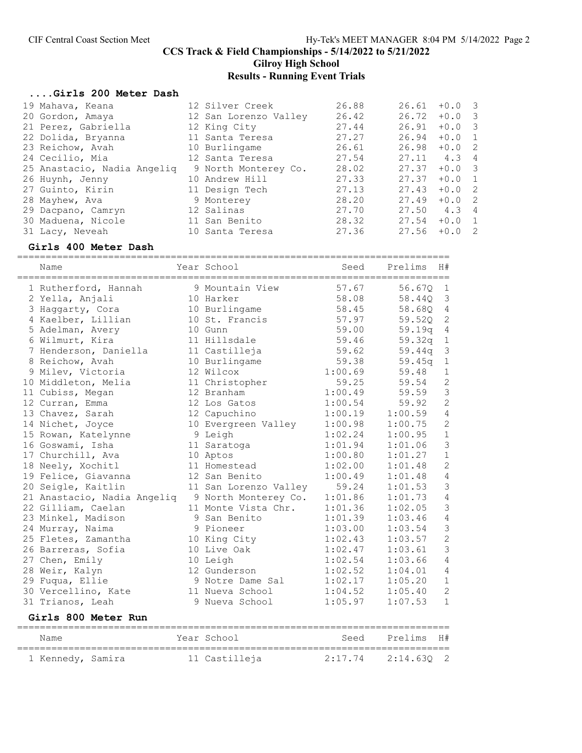Gilroy High School

# Results - Running Event Trials

#### ....Girls 200 Meter Dash

| 19 Mahava, Keana            | 12 Silver Creek       | 26.88 | 26.61 | $+0.0$   | $\overline{\mathbf{3}}$ |
|-----------------------------|-----------------------|-------|-------|----------|-------------------------|
| 20 Gordon, Amaya            | 12 San Lorenzo Valley | 26.42 | 26.72 | $+0.0$   | $\overline{\mathbf{3}}$ |
| 21 Perez, Gabriella         | 12 King City          | 27.44 | 26.91 | $+0.0$ 3 |                         |
| 22 Dolida, Bryanna          | 11 Santa Teresa       | 27.27 | 26.94 | $+0.0$   | $\overline{1}$          |
| 23 Reichow, Avah            | 10 Burlingame         | 26.61 | 26.98 | $+0.0$ 2 |                         |
| 24 Cecilio, Mia             | 12 Santa Teresa       | 27.54 | 27.11 | 4.3      | $\overline{4}$          |
| 25 Anastacio, Nadia Angeliq | 9 North Monterey Co.  | 28.02 | 27.37 | $+0.03$  |                         |
| 26 Huynh, Jenny             | 10 Andrew Hill        | 27.33 | 27.37 | $+0.0$   | $\overline{1}$          |
| 27 Guinto, Kirin            | 11 Design Tech        | 27.13 | 27.43 | $+0.0$   | $\overline{2}$          |
| 28 Mayhew, Ava              | 9 Monterey            | 28.20 | 27.49 | $+0.0$   | $\overline{2}$          |
| 29 Dacpano, Camryn          | 12 Salinas            | 27.70 | 27.50 | 4.3      | 4                       |
| 30 Maduena, Nicole          | 11 San Benito         | 28.32 | 27.54 | $+0.0$   | $\overline{1}$          |
| 31 Lacy, Neveah             | 10 Santa Teresa       | 27.36 | 27.56 | $+0.0$   | $\overline{2}$          |
|                             |                       |       |       |          |                         |

#### Girls 400 Meter Dash

| Name                        | Year School           | Seed    | Prelims  | H#             |
|-----------------------------|-----------------------|---------|----------|----------------|
| 1 Rutherford, Hannah        | 9 Mountain View       | 57.67   | 56.67Q   | $\mathbf{1}$   |
| 2 Yella, Anjali             | 10 Harker             | 58.08   | 58.44Q   | $\mathfrak{Z}$ |
| 3 Haggarty, Cora            | 10 Burlingame         | 58.45   | 58.680   | $\sqrt{4}$     |
| 4 Kaelber, Lillian          | 10 St. Francis        | 57.97   | 59.520   | $\mathbf 2$    |
| 5 Adelman, Avery            | 10 Gunn               | 59.00   | 59.19q   | 4              |
| 6 Wilmurt, Kira             | 11 Hillsdale          | 59.46   | 59.32q   | $\mathbf 1$    |
| 7 Henderson, Daniella       | 11 Castilleja         | 59.62   | 59.44q   | $\mathfrak{Z}$ |
| 8 Reichow, Avah             | 10 Burlingame         | 59.38   | 59.45q   | $\mathbf 1$    |
| 9 Milev, Victoria           | 12 Wilcox             | 1:00.69 | 59.48    | $\mathbf 1$    |
| 10 Middleton, Melia         | 11 Christopher        | 59.25   | 59.54    | $\overline{c}$ |
| 11 Cubiss, Megan            | 12 Branham            | 1:00.49 | 59.59    | $\mathfrak{Z}$ |
| 12 Curran, Emma             | 12 Los Gatos          | 1:00.54 | 59.92    | $\overline{c}$ |
| 13 Chavez, Sarah            | 12 Capuchino          | 1:00.19 | 1:00.59  | $\overline{4}$ |
| 14 Nichet, Joyce            | 10 Evergreen Valley   | 1:00.98 | 1:00.75  | $\overline{c}$ |
| 15 Rowan, Katelynne         | 9 Leigh               | 1:02.24 | 1:00.95  | $1\,$          |
| 16 Goswami, Isha            | 11 Saratoga           | 1:01.94 | 1:01.06  | 3              |
| 17 Churchill, Ava           | 10 Aptos              | 1:00.80 | 1:01.27  | $\mathbf 1$    |
| 18 Neely, Xochitl           | 11 Homestead          | 1:02.00 | 1:01.48  | $\overline{c}$ |
| 19 Felice, Giavanna         | 12 San Benito         | 1:00.49 | 1:01.48  | $\overline{4}$ |
| 20 Seigle, Kaitlin          | 11 San Lorenzo Valley | 59.24   | 1:01.53  | 3              |
| 21 Anastacio, Nadia Angeliq | 9 North Monterey Co.  | 1:01.86 | 1:01.73  | $\overline{4}$ |
| 22 Gilliam, Caelan          | 11 Monte Vista Chr.   | 1:01.36 | 1:02.05  | 3              |
| 23 Minkel, Madison          | 9 San Benito          | 1:01.39 | 1:03.46  | $\overline{4}$ |
| 24 Murray, Naima            | 9 Pioneer             | 1:03.00 | 1:03.54  | 3              |
| 25 Fletes, Zamantha         | 10 King City          | 1:02.43 | 1:03.57  | $\overline{c}$ |
| 26 Barreras, Sofia          | 10 Live Oak           | 1:02.47 | 1:03.61  | 3              |
| 27 Chen, Emily              | 10 Leigh              | 1:02.54 | 1:03.66  | $\overline{4}$ |
| 28 Weir, Kalyn              | 12 Gunderson          | 1:02.52 | 1:04.01  | $\overline{4}$ |
| 29 Fuqua, Ellie             | 9 Notre Dame Sal      | 1:02.17 | 1:05.20  | $1\,$          |
| 30 Vercellino, Kate         | 11 Nueva School       | 1:04.52 | 1:05.40  | $\mathbf{2}$   |
| 31 Trianos, Leah            | 9 Nueva School        | 1:05.97 | 1:07.53  | $\mathbf{1}$   |
| <b>Girls 800 Meter Run</b>  |                       |         |          |                |
| Name                        | Year School           | Seed    | Prelims  | H#             |
| 1 Kennedy, Samira           | 11 Castilleja         | 2:17.74 | 2:14.63Q | $\overline{c}$ |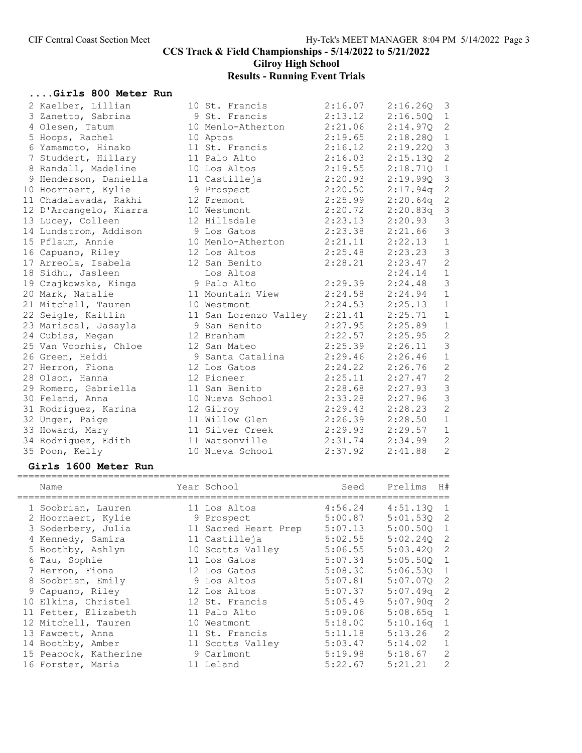Gilroy High School

# Results - Running Event Trials

# ....Girls 800 Meter Run

| 2 Kaelber, Lillian     | 10 St. Francis                | 2:16.07 | 2:16.26Q | 3                          |
|------------------------|-------------------------------|---------|----------|----------------------------|
| 3 Zanetto, Sabrina     | 9 St. Francis                 | 2:13.12 | 2:16.50Q | $\mathbf{1}$               |
| 4 Olesen, Tatum        | 10 Menlo-Atherton             | 2:21.06 | 2:14.97Q | $\mathbf{2}$               |
| 5 Hoops, Rachel        | 10 Aptos                      | 2:19.65 | 2:18.28Q | $\mathbf 1$                |
| 6 Yamamoto, Hinako     | 11 St. Francis                | 2:16.12 | 2:19.220 | $\mathfrak{Z}$             |
| 7 Studdert, Hillary    | 11 Palo Alto                  | 2:16.03 | 2:15.13Q | $\sqrt{2}$                 |
| 8 Randall, Madeline    | 10 Los Altos                  | 2:19.55 | 2:18.71Q | $\mathbf 1$                |
| 9 Henderson, Daniella  | 11 Castilleja                 | 2:20.93 | 2:19.99Q | $\mathfrak{Z}$             |
| 10 Hoornaert, Kylie    | 9 Prospect                    | 2:20.50 | 2:17.94q | $\sqrt{2}$                 |
| 11 Chadalavada, Rakhi  | 12 Fremont                    | 2:25.99 | 2:20.64q | $\sqrt{2}$                 |
| 12 D'Arcangelo, Kiarra | 10 Westmont                   | 2:20.72 | 2:20.83q | $\mathsf 3$                |
| 13 Lucey, Colleen      | 12 Hillsdale                  | 2:23.13 | 2:20.93  | $\mathfrak{Z}$             |
| 14 Lundstrom, Addison  | 9 Los Gatos                   | 2:23.38 | 2:21.66  | $\mathfrak{Z}$             |
| 15 Pflaum, Annie       | 10 Menlo-Atherton             | 2:21.11 | 2:22.13  | $\ensuremath{\mathbbm{1}}$ |
| 16 Capuano, Riley      | 12 Los Altos                  | 2:25.48 | 2:23.23  | $\mathfrak{Z}$             |
| 17 Arreola, Isabela    | 12 San Benito                 | 2:28.21 | 2:23.47  | $\mathbf{2}$               |
| 18 Sidhu, Jasleen      | Los Altos                     |         | 2:24.14  | $1\,$                      |
| 19 Czajkowska, Kinga   | 9 Palo Alto                   | 2:29.39 | 2:24.48  | $\mathfrak{Z}$             |
| 20 Mark, Natalie       | 11 Mountain View              | 2:24.58 | 2:24.94  | $\mathbf 1$                |
| 21 Mitchell, Tauren    | 10 Westmont                   | 2:24.53 | 2:25.13  | $\mathbf 1$                |
| 22 Seigle, Kaitlin     | 11 San Lorenzo Valley 2:21.41 |         | 2:25.71  | $\mathbf 1$                |
| 23 Mariscal, Jasayla   | 9 San Benito                  | 2:27.95 | 2:25.89  | $\,1$                      |
| 24 Cubiss, Megan       | 12 Branham                    | 2:22.57 | 2:25.95  | $\overline{c}$             |
| 25 Van Voorhis, Chloe  | 12 San Mateo                  | 2:25.39 | 2:26.11  | $\mathfrak{Z}$             |
| 26 Green, Heidi        | 9 Santa Catalina              | 2:29.46 | 2:26.46  | $\mathbf 1$                |
| 27 Herron, Fiona       | 12 Los Gatos                  | 2:24.22 | 2:26.76  | $\mathbf{2}$               |
| 28 Olson, Hanna        | 12 Pioneer                    | 2:25.11 | 2:27.47  | $\mathbf{2}$               |
| 29 Romero, Gabriella   | 11 San Benito                 | 2:28.68 | 2:27.93  | $\mathfrak{Z}$             |
| 30 Feland, Anna        | 10 Nueva School               | 2:33.28 | 2:27.96  | $\mathfrak{Z}$             |
| 31 Rodriguez, Karina   | 12 Gilroy                     | 2:29.43 | 2:28.23  | $\sqrt{2}$                 |
| 32 Unger, Paige        | 11 Willow Glen                | 2:26.39 | 2:28.50  | $1\,$                      |
| 33 Howard, Mary        | 11 Silver Creek               | 2:29.93 | 2:29.57  | $1\,$                      |
| 34 Rodriguez, Edith    | 11 Watsonville                | 2:31.74 | 2:34.99  | $\sqrt{2}$                 |
| 35 Poon, Kelly         | 10 Nueva School               | 2:37.92 | 2:41.88  | $\overline{c}$             |

#### Girls 1600 Meter Run

| Name                  | Year School          | Seed    | Prelims  | H#           |
|-----------------------|----------------------|---------|----------|--------------|
| 1 Soobrian, Lauren    | 11 Los Altos         | 4:56.24 | 4:51.130 | $\mathbf{1}$ |
| 2 Hoornaert, Kylie    | 9 Prospect           | 5:00.87 | 5:01.530 | 2            |
| 3 Soderbery, Julia    | 11 Sacred Heart Prep | 5:07.13 | 5:00.500 | $\mathbf{1}$ |
| 4 Kennedy, Samira     | 11 Castilleja        | 5:02.55 | 5:02.240 | 2            |
| 5 Boothby, Ashlyn     | 10 Scotts Valley     | 5:06.55 | 5:03.420 | 2            |
| 6 Tau, Sophie         | 11 Los Gatos         | 5:07.34 | 5:05.500 | 1            |
| 7 Herron, Fiona       | 12 Los Gatos         | 5:08.30 | 5:06.530 | 1            |
| 8 Soobrian, Emily     | 9 Los Altos          | 5:07.81 | 5:07.070 | 2            |
| 9 Capuano, Riley      | 12 Los Altos         | 5:07.37 | 5:07.49q | 2            |
| 10 Elkins, Christel   | 12 St. Francis       | 5:05.49 | 5:07.90q | 2            |
| 11 Fetter, Elizabeth  | 11 Palo Alto         | 5:09.06 | 5:08.65q | 1            |
| 12 Mitchell, Tauren   | 10 Westmont          | 5:18.00 | 5:10.16q | $\mathbf{1}$ |
| 13 Fawcett, Anna      | 11 St. Francis       | 5:11.18 | 5:13.26  | 2            |
| 14 Boothby, Amber     | 11 Scotts Valley     | 5:03.47 | 5:14.02  | $\mathbf{1}$ |
| 15 Peacock, Katherine | 9 Carlmont           | 5:19.98 | 5:18.67  | 2            |
| 16 Forster, Maria     | 11 Leland            | 5:22.67 | 5:21.21  | 2            |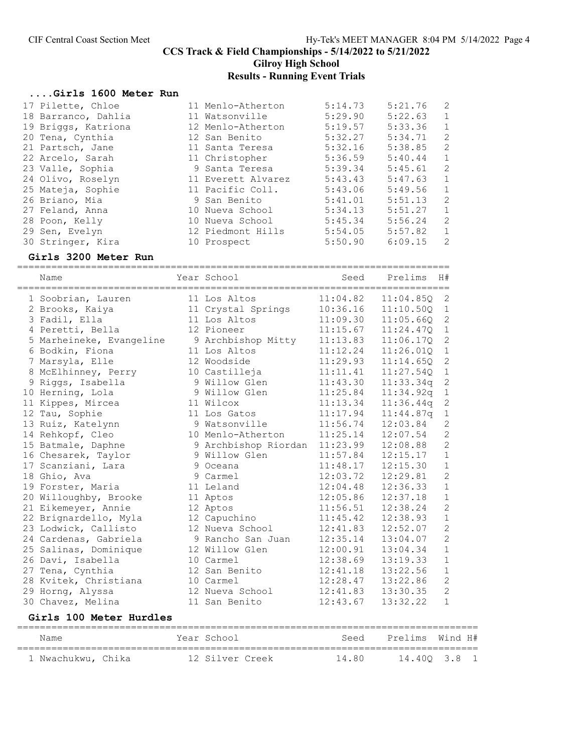Gilroy High School

# Results - Running Event Trials

#### ....Girls 1600 Meter Run

| 17 Pilette, Chloe   | 11 Menlo-Atherton  | 5:14.73 | 5:21.76 | 2            |
|---------------------|--------------------|---------|---------|--------------|
| 18 Barranco, Dahlia | 11 Watsonville     | 5:29.90 | 5:22.63 | 1            |
| 19 Briggs, Katriona | 12 Menlo-Atherton  | 5:19.57 | 5:33.36 | 1            |
| 20 Tena, Cynthia    | 12 San Benito      | 5:32.27 | 5:34.71 | 2            |
| 21 Partsch, Jane    | 11 Santa Teresa    | 5:32.16 | 5:38.85 | 2            |
| 22 Arcelo, Sarah    | 11 Christopher     | 5:36.59 | 5:40.44 | 1            |
| 23 Valle, Sophia    | 9 Santa Teresa     | 5:39.34 | 5:45.61 | 2            |
| 24 Olivo, Roselyn   | 11 Everett Alvarez | 5:43.43 | 5:47.63 | 1            |
| 25 Mateja, Sophie   | 11 Pacific Coll.   | 5:43.06 | 5:49.56 | $\mathbf{1}$ |
| 26 Briano, Mia      | 9 San Benito       | 5:41.01 | 5:51.13 | 2            |
| 27 Feland, Anna     | 10 Nueva School    | 5:34.13 | 5:51.27 | 1            |
| 28 Poon, Kelly      | 10 Nueva School    | 5:45.34 | 5:56.24 | 2            |
| 29 Sen, Evelyn      | 12 Piedmont Hills  | 5:54.05 | 5:57.82 | 1            |
| 30 Stringer, Kira   | 10 Prospect        | 5:50.90 | 6:09.15 | 2            |

#### Girls 3200 Meter Run

| =========================<br>Name<br>=================================== | Year School          | Seed     | ____________________________________<br>Prelims | H#             |
|--------------------------------------------------------------------------|----------------------|----------|-------------------------------------------------|----------------|
| 1 Soobrian, Lauren                                                       | 11 Los Altos         | 11:04.82 | 11:04.850                                       | 2              |
| 2 Brooks, Kaiya                                                          | 11 Crystal Springs   | 10:36.16 | 11:10.500                                       | $\mathbf{1}$   |
| 3 Fadil, Ella                                                            | 11 Los Altos         | 11:09.30 | 11:05.66Q                                       | $\overline{2}$ |
| 4 Peretti, Bella                                                         | 12 Pioneer           | 11:15.67 | 11:24.47Q                                       | $\mathbf 1$    |
| 5 Marheineke, Evangeline                                                 | 9 Archbishop Mitty   | 11:13.83 | 11:06.17Q                                       | 2              |
| 6 Bodkin, Fiona                                                          | 11 Los Altos         | 11:12.24 | 11:26.010                                       | $\mathbf{1}$   |
| 7 Marsyla, Elle                                                          | 12 Woodside          | 11:29.93 | 11:14.650                                       | $\overline{2}$ |
| 8 McElhinney, Perry                                                      | 10 Castilleja        | 11:11.41 | 11:27.54Q                                       | $\mathbf{1}$   |
| 9 Riggs, Isabella                                                        | 9 Willow Glen        | 11:43.30 | 11:33.34q                                       | $\overline{2}$ |
| 10 Herning, Lola                                                         | 9 Willow Glen        | 11:25.84 | 11:34.92q                                       | $\mathbf{1}$   |
| 11 Kippes, Mircea                                                        | 11 Wilcox            | 11:13.34 | 11:36.44q                                       | $\overline{2}$ |
| 12 Tau, Sophie                                                           | 11 Los Gatos         | 11:17.94 | 11:44.87q                                       | $\mathbf 1$    |
| 13 Ruiz, Katelynn                                                        | 9 Watsonville        | 11:56.74 | 12:03.84                                        | $\overline{2}$ |
| 14 Rehkopf, Cleo                                                         | 10 Menlo-Atherton    | 11:25.14 | 12:07.54                                        | $\overline{2}$ |
| 15 Batmale, Daphne                                                       | 9 Archbishop Riordan | 11:23.99 | 12:08.88                                        | $\overline{2}$ |
| 16 Chesarek, Taylor                                                      | 9 Willow Glen        | 11:57.84 | 12:15.17                                        | $\mathbf{1}$   |
| 17 Scanziani, Lara                                                       | 9 Oceana             | 11:48.17 | 12:15.30                                        | $\mathbf 1$    |
| 18 Ghio, Ava                                                             | 9 Carmel             | 12:03.72 | 12:29.81                                        | $\overline{2}$ |
| 19 Forster, Maria                                                        | 11 Leland            | 12:04.48 | 12:36.33                                        | $\mathbf{1}$   |
| 20 Willoughby, Brooke                                                    | 11 Aptos             | 12:05.86 | 12:37.18                                        | $\mathbf{1}$   |
| 21 Eikemeyer, Annie                                                      | 12 Aptos             | 11:56.51 | 12:38.24                                        | $\overline{2}$ |
| 22 Brignardello, Myla                                                    | 12 Capuchino         | 11:45.42 | 12:38.93                                        | $\mathbf{1}$   |
| 23 Lodwick, Callisto                                                     | 12 Nueva School      | 12:41.83 | 12:52.07                                        | $\overline{2}$ |
| 24 Cardenas, Gabriela                                                    | 9 Rancho San Juan    | 12:35.14 | 13:04.07                                        | $\overline{2}$ |
| 25 Salinas, Dominique                                                    | 12 Willow Glen       | 12:00.91 | 13:04.34                                        | $\mathbf{1}$   |
| 26 Davi, Isabella                                                        | 10 Carmel            | 12:38.69 | 13:19.33                                        | $\mathbf{1}$   |
| 27 Tena, Cynthia                                                         | 12 San Benito        | 12:41.18 | 13:22.56                                        | $\mathbf{1}$   |
| 28 Kvitek, Christiana                                                    | 10 Carmel            | 12:28.47 | 13:22.86                                        | $\overline{2}$ |
| 29 Horng, Alyssa                                                         | 12 Nueva School      | 12:41.83 | 13:30.35                                        | $\overline{2}$ |
| 30 Chavez, Melina                                                        | 11 San Benito        | 12:43.67 | 13:32.22                                        | $\mathbf{1}$   |
|                                                                          |                      |          |                                                 |                |

# Girls 100 Meter Hurdles

| Name               |  | Year School     |  | Seed  | Prelims Wind H# |              |  |
|--------------------|--|-----------------|--|-------|-----------------|--------------|--|
| 1 Nwachukwu, Chika |  | 12 Silver Creek |  | 14.80 |                 | 14.400 3.8 1 |  |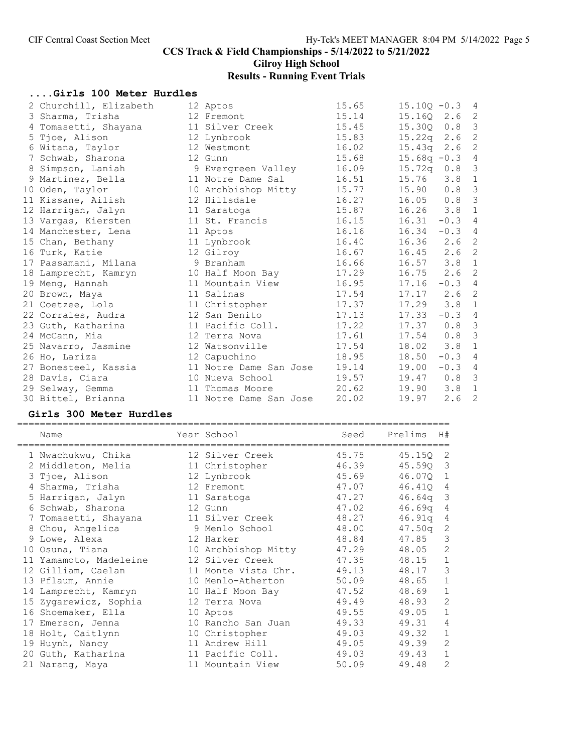# Gilroy High School

# Results - Running Event Trials

# ....Girls 100 Meter Hurdles

| 2 Churchill, Elizabeth | 12 Aptos               | 15.65 | $15.100 - 0.3$ 4 |                  |                            |
|------------------------|------------------------|-------|------------------|------------------|----------------------------|
| 3 Sharma, Trisha       | 12 Fremont             | 15.14 | 15.160 2.6       |                  | $\overline{\phantom{0}}^2$ |
| 4 Tomasetti, Shayana   | 11 Silver Creek        | 15.45 | 15.300 0.8       |                  | $\overline{\mathbf{3}}$    |
| 5 Tjoe, Alison         | 12 Lynbrook            | 15.83 | $15.22q$ 2.6     |                  | 2                          |
| 6 Witana, Taylor       | 12 Westmont            | 16.02 | $15.43q$ 2.6     |                  | 2                          |
| 7 Schwab, Sharona      | 12 Gunn                | 15.68 | $15.68q - 0.3$ 4 |                  |                            |
| 8 Simpson, Laniah      | 9 Evergreen Valley     | 16.09 | $15.72q$ 0.8     |                  | $\mathcal{S}$              |
| 9 Martinez, Bella      | 11 Notre Dame Sal      | 16.51 | 15.76            | $3.8 \quad 1$    |                            |
| 10 Oden, Taylor        | 10 Archbishop Mitty    | 15.77 | 15.90            | $0.8$ 3          |                            |
| 11 Kissane, Ailish     | 12 Hillsdale           | 16.27 | 16.05            | 0.8              | $\mathcal{E}$              |
| 12 Harrigan, Jalyn     | 11 Saratoga            | 15.87 | 16.26            | 3.8              | $\overline{1}$             |
| 13 Vargas, Kiersten    | 11 St. Francis         | 16.15 | 16.31            | $-0.3$ 4         |                            |
| 14 Manchester, Lena    | 11 Aptos               | 16.16 | 16.34            | $-0.3$ 4         |                            |
| 15 Chan, Bethany       | 11 Lynbrook            | 16.40 | 16.36            | 2.6 <sub>2</sub> |                            |
| 16 Turk, Katie         | 12 Gilroy              | 16.67 | 16.45            | $2.6$ 2          |                            |
| 17 Passamani, Milana   | 9 Branham              | 16.66 | 16.57            | $3.8$ 1          |                            |
| 18 Lamprecht, Kamryn   | 10 Half Moon Bay       | 17.29 | 16.75            | 2.6              | 2                          |
| 19 Meng, Hannah        | 11 Mountain View       | 16.95 | 17.16            | $-0.3$ 4         |                            |
| 20 Brown, Maya         | 11 Salinas             | 17.54 | 17.17            | 2.6 <sub>2</sub> |                            |
| 21 Coetzee, Lola       | 11 Christopher         | 17.37 | 17.29            | $3.8 \quad 1$    |                            |
| 22 Corrales, Audra     | 12 San Benito          | 17.13 | 17.33            | $-0.3$ 4         |                            |
| 23 Guth, Katharina     | 11 Pacific Coll.       | 17.22 | 17.37            | 0.8 <sup>3</sup> |                            |
| 24 McCann, Mia         | 12 Terra Nova          | 17.61 | 17.54            | 0.8 <sup>3</sup> |                            |
| 25 Navarro, Jasmine    | 12 Watsonville         | 17.54 | 18.02            | 3.8              | $\mathbf{1}$               |
| 26 Ho, Lariza          | 12 Capuchino           | 18.95 | 18.50            | $-0.3$ 4         |                            |
| 27 Bonesteel, Kassia   | 11 Notre Dame San Jose | 19.14 | 19.00            | $-0.3$ 4         |                            |
| 28 Davis, Ciara        | 10 Nueva School        | 19.57 | 19.47            | 0.8 <sup>3</sup> |                            |
| 29 Selway, Gemma       | 11 Thomas Moore        | 20.62 | 19.90            | $3.8 \quad 1$    |                            |
| 30 Bittel, Brianna     | 11 Notre Dame San Jose | 20.02 | 19.97            | 2.6              | $\overline{c}$             |

# Girls 300 Meter Hurdles

| Name<br>==================== | Year School<br>===================== | Seed  | Prelims<br>H#            |
|------------------------------|--------------------------------------|-------|--------------------------|
| 1 Nwachukwu, Chika           | 12 Silver Creek                      | 45.75 | 45.150<br>-2             |
| 2 Middleton, Melia           | 11 Christopher                       | 46.39 | 3<br>45.59Q              |
| 3 Tjoe, Alison               | 12 Lynbrook                          | 45.69 | 46.070<br>$\mathbf{1}$   |
| 4 Sharma, Trisha             | 12 Fremont                           | 47.07 | 46.410<br>4              |
| 5 Harrigan, Jalyn            | 11 Saratoga                          | 47.27 | 3<br>46.64q              |
| 6 Schwab, Sharona            | 12 Gunn                              | 47.02 | 46.69q<br>$\overline{4}$ |
| 7 Tomasetti, Shayana         | 11 Silver Creek                      | 48.27 | 46.91q<br>4              |
| 8 Chou, Angelica             | 9 Menlo School                       | 48.00 | 2<br>47.50q              |
| 9 Lowe, Alexa                | 12 Harker                            | 48.84 | 3<br>47.85               |
| 10 Osuna, Tiana              | 10 Archbishop Mitty                  | 47.29 | $\overline{2}$<br>48.05  |
| 11 Yamamoto, Madeleine       | 12 Silver Creek                      | 47.35 | 48.15<br>1               |
| 12 Gilliam, Caelan           | 11 Monte Vista Chr.                  | 49.13 | 3<br>48.17               |
| 13 Pflaum, Annie             | 10 Menlo-Atherton                    | 50.09 | 48.65<br>$\mathbf 1$     |
| 14 Lamprecht, Kamryn         | 10 Half Moon Bay                     | 47.52 | $\mathbf 1$<br>48.69     |
| 15 Zygarewicz, Sophia        | 12 Terra Nova                        | 49.49 | $\mathbf{2}$<br>48.93    |
| 16 Shoemaker, Ella           | 10 Aptos                             | 49.55 | $\mathbf 1$<br>49.05     |
| 17 Emerson, Jenna            | 10 Rancho San Juan                   | 49.33 | $\overline{4}$<br>49.31  |
| 18 Holt, Caitlynn            | 10 Christopher                       | 49.03 | 49.32<br>1               |
| 19 Huynh, Nancy              | 11 Andrew Hill                       | 49.05 | $\overline{2}$<br>49.39  |
| 20 Guth, Katharina           | 11 Pacific Coll.                     | 49.03 | $\mathbf 1$<br>49.43     |
| 21 Narang, Maya              | 11 Mountain View                     | 50.09 | 2<br>49.48               |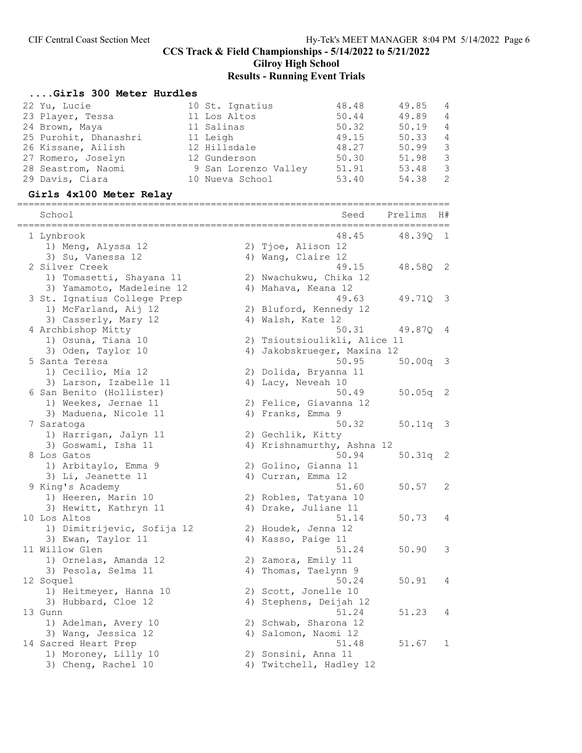Gilroy High School

# Results - Running Event Trials

# ....Girls 300 Meter Hurdles

| GILIS JOV MECEL MULUIES<br>22 Yu, Lucie<br>23 Player, Tessa<br>24 Brown, Maya<br>25 Purohit, Dhanashri<br>26 Kissane, Ailish<br>27 Romero, Joselyn<br>28 Seastrom, Naomi<br>29 Davis, Ciara<br>Girls 4x100 Meter Relay | 48.48<br>10 St. Ignatius<br>11 Los Altos<br>50.44<br>11 Salinas<br>50.32<br>49.15<br>11 Leigh<br>12 Hillsdale<br>48.27<br>12 Gunderson<br>50.30<br>51.91<br>9 San Lorenzo Valley<br>53.40<br>10 Nueva School | 49.85<br>49.89<br>50.19<br>50.33<br>50.99<br>51.98<br>53.48<br>54.38 | 4<br>4<br>4<br>$\overline{4}$<br>$\mathsf 3$<br>$\mathfrak{Z}$<br>$\mathfrak{Z}$<br>2 |
|------------------------------------------------------------------------------------------------------------------------------------------------------------------------------------------------------------------------|--------------------------------------------------------------------------------------------------------------------------------------------------------------------------------------------------------------|----------------------------------------------------------------------|---------------------------------------------------------------------------------------|
| School                                                                                                                                                                                                                 | Seed                                                                                                                                                                                                         | Prelims                                                              | H#                                                                                    |
| 1 Lynbrook<br>1) Meng, Alyssa 12                                                                                                                                                                                       | 48.45<br>2) Tjoe, Alison 12                                                                                                                                                                                  | 48.390 1                                                             |                                                                                       |
| 3) Su, Vanessa 12<br>2 Silver Creek<br>1) Tomasetti, Shayana 11                                                                                                                                                        | 4) Wang, Claire 12<br>49.15<br>2) Nwachukwu, Chika 12                                                                                                                                                        | 48.580 2                                                             |                                                                                       |
| 3) Yamamoto, Madeleine 12<br>3 St. Ignatius College Prep                                                                                                                                                               | 4) Mahava, Keana 12<br>49.63                                                                                                                                                                                 | 49.71Q                                                               | - 3                                                                                   |
| 1) McFarland, Aij 12<br>3) Casserly, Mary 12<br>4 Archbishop Mitty                                                                                                                                                     | 2) Bluford, Kennedy 12<br>4) Walsh, Kate 12<br>50.31                                                                                                                                                         | 49.870 4                                                             |                                                                                       |
| 1) Osuna, Tiana 10<br>3) Oden, Taylor 10                                                                                                                                                                               | 2) Tsioutsioulikli, Alice 11<br>4) Jakobskrueger, Maxina 12                                                                                                                                                  |                                                                      |                                                                                       |
| 5 Santa Teresa<br>1) Cecilio, Mia 12<br>3) Larson, Izabelle 11                                                                                                                                                         | 50.95<br>2) Dolida, Bryanna 11<br>4) Lacy, Neveah 10                                                                                                                                                         | $50.00q$ 3                                                           |                                                                                       |
| 6 San Benito (Hollister)<br>1) Weekes, Jernae 11                                                                                                                                                                       | 50.49<br>2) Felice, Giavanna 12                                                                                                                                                                              | $50.05q$ 2                                                           |                                                                                       |
| 3) Maduena, Nicole 11<br>7 Saratoga                                                                                                                                                                                    | 4) Franks, Emma 9<br>50.32                                                                                                                                                                                   | $50.11q$ 3                                                           |                                                                                       |
| 1) Harrigan, Jalyn 11<br>3) Goswami, Isha 11<br>8 Los Gatos                                                                                                                                                            | 2) Gechlik, Kitty<br>4) Krishnamurthy, Ashna 12<br>50.94                                                                                                                                                     | $50.31q$ 2                                                           |                                                                                       |
| 1) Arbitaylo, Emma 9<br>3) Li, Jeanette 11                                                                                                                                                                             | 2) Golino, Gianna 11<br>4) Curran, Emma 12                                                                                                                                                                   |                                                                      |                                                                                       |
| 9 King's Academy<br>1) Heeren, Marin 10<br>3) Hewitt, Kathryn 11                                                                                                                                                       | 51.60<br>2) Robles, Tatyana 10<br>4) Drake, Juliane 11                                                                                                                                                       | 50.57                                                                | 2                                                                                     |
| 10 Los Altos<br>1) Dimitrijevic, Sofija 12                                                                                                                                                                             | 51.14<br>2) Houdek, Jenna 12                                                                                                                                                                                 | 50.73                                                                | 4                                                                                     |
| 3) Ewan, Taylor 11<br>11 Willow Glen<br>1) Ornelas, Amanda 12                                                                                                                                                          | 4) Kasso, Paige 11<br>51.24<br>2) Zamora, Emily 11                                                                                                                                                           | 50.90                                                                | 3                                                                                     |
| 3) Pesola, Selma 11<br>12 Soquel                                                                                                                                                                                       | 4) Thomas, Taelynn 9<br>50.24                                                                                                                                                                                | 50.91                                                                | 4                                                                                     |
| 1) Heitmeyer, Hanna 10<br>3) Hubbard, Cloe 12                                                                                                                                                                          | 2) Scott, Jonelle 10<br>4) Stephens, Deijah 12                                                                                                                                                               | 51.23                                                                |                                                                                       |
| 13 Gunn<br>1) Adelman, Avery 10<br>3) Wang, Jessica 12                                                                                                                                                                 | 51.24<br>2) Schwab, Sharona 12<br>4) Salomon, Naomi 12                                                                                                                                                       |                                                                      | 4                                                                                     |
| 14 Sacred Heart Prep<br>1) Moroney, Lilly 10<br>3) Cheng, Rachel 10                                                                                                                                                    | 51.48<br>2) Sonsini, Anna 11<br>4) Twitchell, Hadley 12                                                                                                                                                      | 51.67                                                                | 1                                                                                     |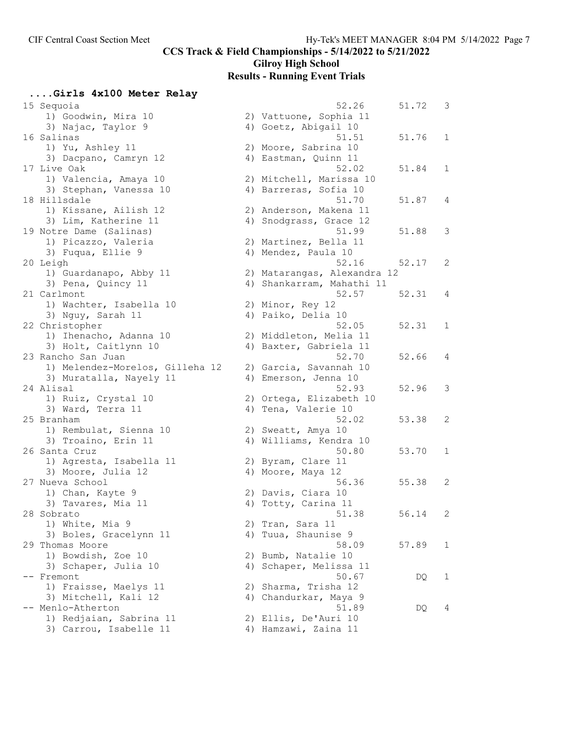# Gilroy High School

# Results - Running Event Trials

| 15 Sequoia                      |    | 52.26                       | 51.72 | 3 |
|---------------------------------|----|-----------------------------|-------|---|
| 1) Goodwin, Mira 10             |    | 2) Vattuone, Sophia 11      |       |   |
| 3) Najac, Taylor 9              |    | 4) Goetz, Abigail 10        |       |   |
| 16 Salinas                      |    | 51.51                       | 51.76 | 1 |
| 1) Yu, Ashley 11                |    | 2) Moore, Sabrina 10        |       |   |
|                                 |    |                             |       |   |
| 3) Dacpano, Camryn 12           |    | 4) Eastman, Quinn 11        |       |   |
| 17 Live Oak                     |    | 52.02                       | 51.84 | 1 |
| 1) Valencia, Amaya 10           |    | 2) Mitchell, Marissa 10     |       |   |
| 3) Stephan, Vanessa 10          |    | 4) Barreras, Sofia 10       |       |   |
| 18 Hillsdale                    |    | 51.70                       | 51.87 | 4 |
| 1) Kissane, Ailish 12           |    | 2) Anderson, Makena 11      |       |   |
| 3) Lim, Katherine 11            |    | 4) Snodgrass, Grace 12      |       |   |
|                                 |    | 51.99                       | 51.88 | 3 |
| 19 Notre Dame (Salinas)         |    |                             |       |   |
| 1) Picazzo, Valeria             |    | 2) Martinez, Bella 11       |       |   |
| 3) Fuqua, Ellie 9               |    | 4) Mendez, Paula 10         |       |   |
| 20 Leigh                        |    | 52.16                       | 52.17 | 2 |
| 1) Guardanapo, Abby 11          |    | 2) Matarangas, Alexandra 12 |       |   |
| 3) Pena, Quincy 11              |    | 4) Shankarram, Mahathi 11   |       |   |
| 21 Carlmont                     |    | 52.57                       | 52.31 | 4 |
| 1) Wachter, Isabella 10         |    | 2) Minor, Rey 12            |       |   |
| 3) Nguy, Sarah 11               |    | 4) Paiko, Delia 10          |       |   |
|                                 |    | 52.05                       |       |   |
| 22 Christopher                  |    |                             | 52.31 | 1 |
| 1) Ihenacho, Adanna 10          |    | 2) Middleton, Melia 11      |       |   |
| 3) Holt, Caitlynn 10            |    | 4) Baxter, Gabriela 11      |       |   |
| 23 Rancho San Juan              |    | 52.70                       | 52.66 | 4 |
| 1) Melendez-Morelos, Gilleha 12 |    | 2) Garcia, Savannah 10      |       |   |
| 3) Muratalla, Nayely 11         |    | 4) Emerson, Jenna 10        |       |   |
| 24 Alisal                       |    | 52.93                       | 52.96 | 3 |
| 1) Ruiz, Crystal 10             |    | 2) Ortega, Elizabeth 10     |       |   |
| 3) Ward, Terra 11               |    | 4) Tena, Valerie 10         |       |   |
| 25 Branham                      |    | 52.02                       | 53.38 | 2 |
| 1) Rembulat, Sienna 10          |    | 2) Sweatt, Amya 10          |       |   |
|                                 |    |                             |       |   |
| 3) Troaino, Erin 11             |    | 4) Williams, Kendra 10      |       |   |
| 26 Santa Cruz                   |    | 50.80                       | 53.70 | 1 |
| 1) Agresta, Isabella 11         |    | 2) Byram, Clare 11          |       |   |
| 3) Moore, Julia 12              |    | 4) Moore, Maya 12           |       |   |
| 27 Nueva School                 |    | 56.36                       | 55.38 | 2 |
| 1) Chan, Kayte 9                |    | 2) Davis, Ciara 10          |       |   |
| 3) Tavares, Mia 11              |    | 4) Totty, Carina 11         |       |   |
| 28 Sobrato                      |    | 51.38                       | 56.14 | 2 |
| 1) White, Mia 9                 |    | 2) Tran, Sara 11            |       |   |
| 3) Boles, Gracelynn 11          |    | 4) Tuua, Shaunise 9         |       |   |
| 29 Thomas Moore                 |    | 58.09                       | 57.89 | 1 |
|                                 |    |                             |       |   |
| 1) Bowdish, Zoe 10              |    | 2) Bumb, Natalie 10         |       |   |
| 3) Schaper, Julia 10            |    | 4) Schaper, Melissa 11      |       |   |
| Fremont                         |    | 50.67                       | DQ    | 1 |
| 1) Fraisse, Maelys 11           | 2) | Sharma, Trisha 12           |       |   |
| 3) Mitchell, Kali 12            |    | 4) Chandurkar, Maya 9       |       |   |
| -- Menlo-Atherton               |    | 51.89                       | DQ    | 4 |
| 1) Redjaian, Sabrina 11         |    | 2) Ellis, De'Auri 10        |       |   |
| 3) Carrou, Isabelle 11          |    | 4) Hamzawi, Zaina 11        |       |   |
|                                 |    |                             |       |   |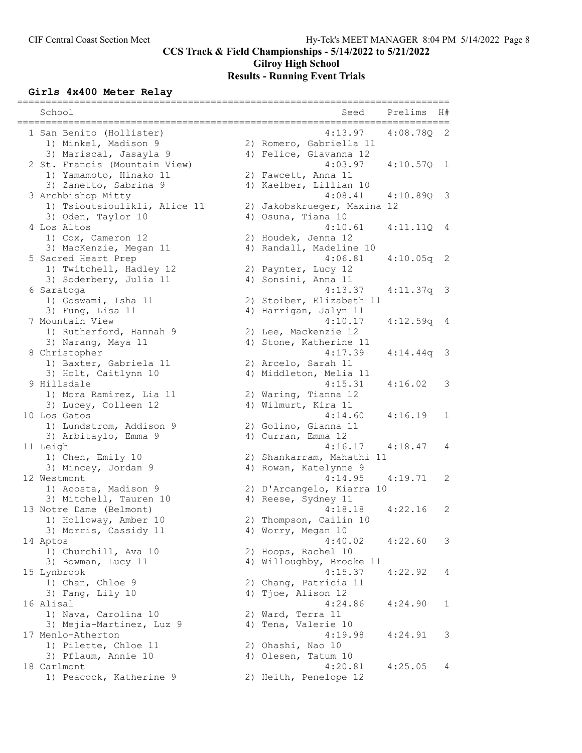# Gilroy High School Results - Running Event Trials

# Girls 4x400 Meter Relay

| School                               | Seed<br>Prelims                              | H#  |
|--------------------------------------|----------------------------------------------|-----|
| 1 San Benito (Hollister)             | 4:13.97<br>4:08.78Q                          | 2   |
| 1) Minkel, Madison 9                 | 2) Romero, Gabriella 11                      |     |
| 3) Mariscal, Jasayla 9               | 4) Felice, Giavanna 12                       |     |
| 2 St. Francis (Mountain View)        | 4:03.97<br>4:10.570 1                        |     |
| 1) Yamamoto, Hinako 11               | 2) Fawcett, Anna 11                          |     |
| 3) Zanetto, Sabrina 9                | 4) Kaelber, Lillian 10                       |     |
| 3 Archbishop Mitty                   | 4:08.41<br>4:10.890                          | - 3 |
| 1) Tsioutsioulikli, Alice 11         | 2) Jakobskrueger, Maxina 12                  |     |
| 3) Oden, Taylor 10                   | 4) Osuna, Tiana 10                           |     |
| 4 Los Altos                          | 4:10.61<br>4:11.11Q                          | - 4 |
| 1) Cox, Cameron 12                   | 2) Houdek, Jenna 12                          |     |
| 3) MacKenzie, Megan 11               | 4) Randall, Madeline 10                      |     |
| 5 Sacred Heart Prep                  | 4:06.81<br>$4:10.05q$ 2                      |     |
| 1) Twitchell, Hadley 12              | 2) Paynter, Lucy 12                          |     |
| 3) Soderbery, Julia 11               | 4) Sonsini, Anna 11                          |     |
| 6 Saratoga                           | 4:13.37<br>$4:11.37q$ 3                      |     |
| 1) Goswami, Isha 11                  | 2) Stoiber, Elizabeth 11                     |     |
| 3) Fung, Lisa 11                     | 4) Harrigan, Jalyn 11                        |     |
| 7 Mountain View                      | 4:10.17<br>4:12.59q 4                        |     |
| 1) Rutherford, Hannah 9              | 2) Lee, Mackenzie 12                         |     |
| 3) Narang, Maya 11                   | 4) Stone, Katherine 11                       |     |
| 8 Christopher                        | 4:17.39<br>4:14.44q                          | - 3 |
| 1) Baxter, Gabriela 11               | 2) Arcelo, Sarah 11                          |     |
| 3) Holt, Caitlynn 10<br>9 Hillsdale  | 4) Middleton, Melia 11<br>4:15.31<br>4:16.02 | 3   |
|                                      |                                              |     |
| 1) Mora Ramirez, Lia 11              | 2) Waring, Tianna 12<br>4) Wilmurt, Kira 11  |     |
| 3) Lucey, Colleen 12<br>10 Los Gatos | 4:14.60<br>4:16.19                           | 1   |
| 1) Lundstrom, Addison 9              | 2) Golino, Gianna 11                         |     |
| 3) Arbitaylo, Emma 9                 | 4) Curran, Emma 12                           |     |
| 11 Leigh                             | $4:16.17$ $4:18.47$                          | 4   |
| 1) Chen, Emily 10                    | 2) Shankarram, Mahathi 11                    |     |
| 3) Mincey, Jordan 9                  | 4) Rowan, Katelynne 9                        |     |
| 12 Westmont                          | 4:14.95<br>4:19.71                           | 2   |
| 1) Acosta, Madison 9                 | 2) D'Arcangelo, Kiarra 10                    |     |
| 3) Mitchell, Tauren 10               | 4) Reese, Sydney 11                          |     |
| 13 Notre Dame (Belmont)              | 4:18.18<br>4:22.16                           | 2   |
| 1) Holloway, Amber 10                | 2) Thompson, Cailin 10                       |     |
| 3) Morris, Cassidy 11                | 4) Worry, Megan 10                           |     |
| 14 Aptos                             | 4:40.02<br>4:22.60                           | 3   |
| 1) Churchill, Ava 10                 | 2) Hoops, Rachel 10                          |     |
| 3) Bowman, Lucy 11                   | 4) Willoughby, Brooke 11                     |     |
| 15 Lynbrook                          | 4:15.37<br>4:22.92                           | 4   |
| 1) Chan, Chloe 9                     | 2) Chang, Patricia 11                        |     |
| 3) Fang, Lily 10                     | 4) Tjoe, Alison 12                           |     |
| 16 Alisal                            | 4:24.86<br>4:24.90                           | 1   |
| 1) Nava, Carolina 10                 | 2) Ward, Terra 11                            |     |
| 3) Mejia-Martinez, Luz 9             | 4) Tena, Valerie 10                          |     |
| 17 Menlo-Atherton                    | 4:19.98<br>4:24.91                           | 3   |
| 1) Pilette, Chloe 11                 | 2) Ohashi, Nao 10                            |     |
| 3) Pflaum, Annie 10                  | 4) Olesen, Tatum 10                          |     |
| 18 Carlmont                          | 4:20.81<br>4:25.05                           | 4   |
| 1) Peacock, Katherine 9              | 2) Heith, Penelope 12                        |     |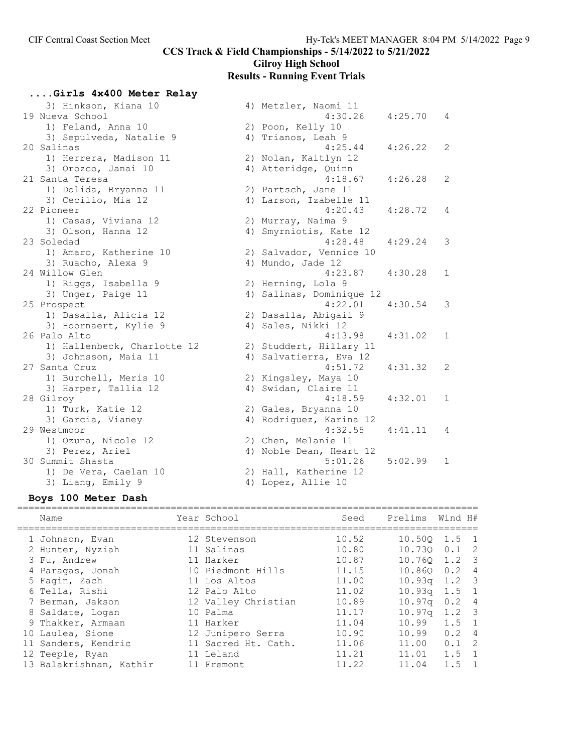# Gilroy High School

# Results - Running Event Trials

....Girls 4x400 Meter Relay

| 3) Hinkson, Kiana 10        | 4) Metzler, Naomi 11     |         |     |
|-----------------------------|--------------------------|---------|-----|
| 19 Nueva School             | 4:30.26                  | 4:25.70 | 4   |
| 1) Feland, Anna 10          | 2) Poon, Kelly 10        |         |     |
| 3) Sepulveda, Natalie 9     | 4) Trianos, Leah 9       |         |     |
| 20 Salinas                  | 4:25.44                  | 4:26.22 | 2   |
| 1) Herrera, Madison 11      | 2) Nolan, Kaitlyn 12     |         |     |
| 3) Orozco, Janai 10         | 4) Atteridge, Quinn      |         |     |
| 21 Santa Teresa             | 4:18.67                  | 4:26.28 | 2   |
| 1) Dolida, Bryanna 11       | 2) Partsch, Jane 11      |         |     |
| 3) Cecilio, Mia 12          | 4) Larson, Izabelle 11   |         |     |
| 22 Pioneer                  | 4:20.43                  | 4:28.72 | 4   |
| 1) Casas, Viviana 12        | 2) Murray, Naima 9       |         |     |
| 3) Olson, Hanna 12          | 4) Smyrniotis, Kate 12   |         |     |
| 23 Soledad                  | 4:28.48                  | 4:29.24 | 3   |
| 1) Amaro, Katherine 10      | 2) Salvador, Vennice 10  |         |     |
| 3) Ruacho, Alexa 9          | 4) Mundo, Jade 12        |         |     |
| 24 Willow Glen              | 4:23.87                  | 4:30.28 | 1   |
| 1) Riggs, Isabella 9        | 2) Herning, Lola 9       |         |     |
| 3) Unger, Paige 11          | 4) Salinas, Dominique 12 |         |     |
| 25 Prospect                 | 4:22.01                  | 4:30.54 | 3   |
| 1) Dasalla, Alicia 12       | 2) Dasalla, Abigail 9    |         |     |
| 3) Hoornaert, Kylie 9       | 4) Sales, Nikki 12       |         |     |
| 26 Palo Alto                | 4:13.98                  | 4:31.02 | 1   |
| 1) Hallenbeck, Charlotte 12 | 2) Studdert, Hillary 11  |         |     |
| 3) Johnsson, Maia 11        | 4) Salvatierra, Eva 12   |         |     |
| 27 Santa Cruz               | 4:51.72                  | 4:31.32 | 2   |
| 1) Burchell, Meris 10       | 2) Kingsley, Maya 10     |         |     |
| 3) Harper, Tallia 12        | 4) Swidan, Claire 11     |         |     |
| 28 Gilroy                   | 4:18.59                  | 4:32.01 | 1   |
| 1) Turk, Katie 12           | 2) Gales, Bryanna 10     |         |     |
| 3) Garcia, Vianey           | 4) Rodriguez, Karina 12  |         |     |
| 29 Westmoor                 | 4:32.55                  | 4:41.11 | - 4 |
| 1) Ozuna, Nicole 12         | 2) Chen, Melanie 11      |         |     |
| 3) Perez, Ariel             | 4) Noble Dean, Heart 12  |         |     |
| 30 Summit Shasta            | 5:01.26                  | 5:02.99 | 1   |
| 1) De Vera, Caelan 10       | 2) Hall, Katherine 12    |         |     |
| 3) Liang, Emily 9           | 4) Lopez, Allie 10       |         |     |
|                             |                          |         |     |

# Boys 100 Meter Dash

| Name                                                                            | Year School                                                        | Seed                             | Prelims                                                        | Wind H#                                                          |                |
|---------------------------------------------------------------------------------|--------------------------------------------------------------------|----------------------------------|----------------------------------------------------------------|------------------------------------------------------------------|----------------|
| 1 Johnson, Evan<br>2 Hunter, Nyziah<br>3 Fu, Andrew                             | 12 Stevenson<br>11 Salinas<br>11 Harker                            | 10.52<br>10.80<br>10.87          | $10.500 \quad 1.5 \quad 1$<br>$10.730$ $0.1$ 2<br>10.760 1.2 3 |                                                                  |                |
| 4 Paragas, Jonah<br>5 Fagin, Zach                                               | 10 Piedmont Hills<br>11 Los Altos<br>12 Palo Alto                  | 11.15<br>11.00<br>11.02          | 10.860 0.2 4<br>10.93 <sub>q</sub><br>$10.93\sigma$            | $1.2 \quad 3$<br>$1.5 \quad 1$                                   |                |
| 6 Tella, Rishi<br>7 Berman, Jakson<br>8 Saldate, Logan                          | 12 Valley Christian<br>10 Palma                                    | 10.89<br>11.17                   | 10.97a<br>10.97 <sub>q</sub>                                   | $0.2 \quad 4$<br>$1.2 \quad 3$                                   |                |
| 9 Thakker, Armaan<br>10 Laulea, Sione<br>11 Sanders, Kendric<br>12 Teeple, Ryan | 11 Harker<br>12 Junipero Serra<br>11 Sacred Ht. Cath.<br>11 Leland | 11.04<br>10.90<br>11.06<br>11.21 | 10.99<br>10.99<br>11.00<br>11.01                               | $1.5 \quad 1$<br>$0.2 \quad 4$<br>$0.1 \quad 2$<br>$1.5 \quad 1$ |                |
| 13 Balakrishnan, Kathir                                                         | 11 Fremont                                                         | 11.22                            | 11.04                                                          | 1.5                                                              | $\overline{1}$ |
|                                                                                 |                                                                    |                                  |                                                                |                                                                  |                |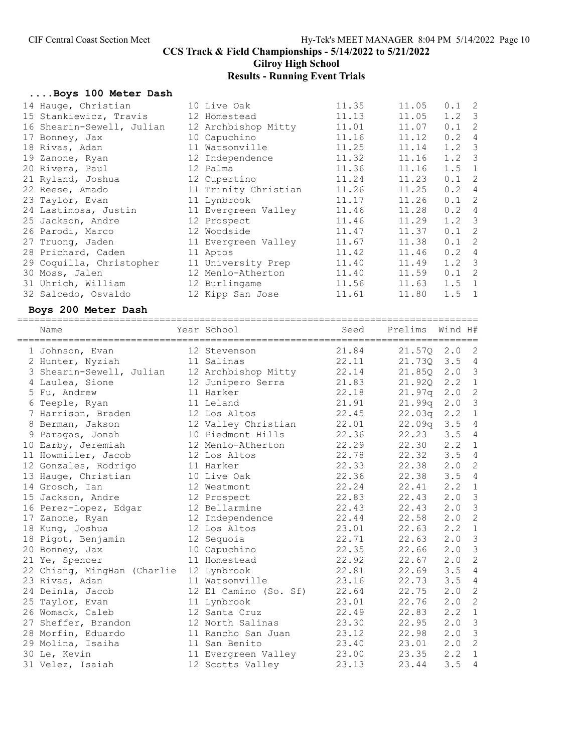# Gilroy High School

# Results - Running Event Trials

# ....Boys 100 Meter Dash

|  | 11.35                                                                                                                                                                                                                                                                                                                                              | 11.05 | $0.1 \quad 2$ |                            |
|--|----------------------------------------------------------------------------------------------------------------------------------------------------------------------------------------------------------------------------------------------------------------------------------------------------------------------------------------------------|-------|---------------|----------------------------|
|  | 11.13                                                                                                                                                                                                                                                                                                                                              | 11.05 | $1.2 \quad 3$ |                            |
|  | 11.01                                                                                                                                                                                                                                                                                                                                              | 11.07 | 0.1           | $\overline{2}$             |
|  | 11.16                                                                                                                                                                                                                                                                                                                                              | 11.12 | 0.2           | $\overline{4}$             |
|  | 11.25                                                                                                                                                                                                                                                                                                                                              | 11.14 | $1.2 \quad 3$ |                            |
|  | 11.32                                                                                                                                                                                                                                                                                                                                              | 11.16 | $1.2 \quad 3$ |                            |
|  | 11.36                                                                                                                                                                                                                                                                                                                                              | 11.16 | $1.5 \quad 1$ |                            |
|  | 11.24                                                                                                                                                                                                                                                                                                                                              | 11.23 | 0.1           | $\overline{\phantom{0}}^2$ |
|  | 11.26                                                                                                                                                                                                                                                                                                                                              | 11.25 | $0.2 \quad 4$ |                            |
|  | 11.17                                                                                                                                                                                                                                                                                                                                              | 11.26 | $0.1 \quad 2$ |                            |
|  | 11.46                                                                                                                                                                                                                                                                                                                                              | 11.28 | 0.2           | $\overline{4}$             |
|  | 11.46                                                                                                                                                                                                                                                                                                                                              | 11.29 | $1.2 \quad 3$ |                            |
|  | 11.47                                                                                                                                                                                                                                                                                                                                              | 11.37 | 0.1           | $\overline{\phantom{0}}^2$ |
|  | 11.67                                                                                                                                                                                                                                                                                                                                              | 11.38 | 0.1           | $\overline{\phantom{0}}^2$ |
|  | 11.42                                                                                                                                                                                                                                                                                                                                              | 11.46 | 0.2           | $\overline{4}$             |
|  | 11.40                                                                                                                                                                                                                                                                                                                                              | 11.49 | $1.2 \quad 3$ |                            |
|  | 11.40                                                                                                                                                                                                                                                                                                                                              | 11.59 | 0.1           | $\overline{\phantom{0}}^2$ |
|  | 11.56                                                                                                                                                                                                                                                                                                                                              | 11.63 | 1.5           | $\overline{1}$             |
|  | 11.61                                                                                                                                                                                                                                                                                                                                              | 11.80 | 1.5           | $\overline{1}$             |
|  | 10 Live Oak<br>12 Homestead<br>12 Archbishop Mitty<br>10 Capuchino<br>11 Watsonville<br>12 Independence<br>12 Palma<br>12 Cupertino<br>11 Trinity Christian<br>11 Lynbrook<br>11 Evergreen Valley<br>12 Prospect<br>12 Woodside<br>11 Evergreen Valley<br>11 Aptos<br>11 University Prep<br>12 Menlo-Atherton<br>12 Burlingame<br>12 Kipp San Jose |       |               |                            |

# Boys 200 Meter Dash

| Name                                    | Year School           | Seed  | Prelims      | Wind H#       |                          |
|-----------------------------------------|-----------------------|-------|--------------|---------------|--------------------------|
| 1 Johnson, Evan                         | 12 Stevenson          | 21.84 | $21.57Q$ 2.0 |               | $\mathbf{2}$             |
| 2 Hunter, Nyziah                        | 11 Salinas            | 22.11 | $21.73Q$ 3.5 |               | $\overline{4}$           |
| 3 Shearin-Sewell, Julian                | 12 Archbishop Mitty   | 22.14 | 21.85Q       | 2.0           | $\mathcal{S}$            |
| 4 Laulea, Sione                         | 12 Junipero Serra     | 21.83 | 21.920       | 2.2           | $\mathbf{1}$             |
| 5 Fu, Andrew                            | 11 Harker             | 22.18 | 21.97q       | 2.0           | 2                        |
| 6 Teeple, Ryan                          | 11 Leland             | 21.91 | 21.99q       | 2.0 3         |                          |
| 7 Harrison, Braden                      | 12 Los Altos          | 22.45 | 22.03q       | $2 \cdot 2$   | $\overline{1}$           |
| 8 Berman, Jakson                        | 12 Valley Christian   | 22.01 | 22.09q       | 3.54          |                          |
| 9 Paragas, Jonah                        | 10 Piedmont Hills     | 22.36 | 22.23        | $3.5 \quad 4$ |                          |
| 10 Earby, Jeremiah                      | 12 Menlo-Atherton     | 22.29 | 22.30        | 2, 2          | $\mathbf{1}$             |
| 11 Howmiller, Jacob                     | 12 Los Altos          | 22.78 | 22.32        | 3.54          |                          |
| 12 Gonzales, Rodrigo                    | 11 Harker             | 22.33 | 22.38        | 2.0           | $\sqrt{2}$               |
| 13 Hauge, Christian                     | 10 Live Oak           | 22.36 | 22.38        | 3.5           | $\overline{4}$           |
| 14 Grosch, Ian                          | 12 Westmont           | 22.24 | 22.41        | 2, 2          | $1\,$                    |
| 15 Jackson, Andre                       | 12 Prospect           | 22.83 | 22.43        | 2.0           | $\mathcal{E}$            |
| 16 Perez-Lopez, Edgar                   | 12 Bellarmine         | 22.43 | 22.43        | 2.0           | $\overline{\mathbf{3}}$  |
| 17 Zanone, Ryan                         | 12 Independence       | 22.44 | 22.58        | 2.0           | $\overline{2}$           |
| 18 Kung, Joshua                         | 12 Los Altos          | 23.01 | 22.63        | 2.2           | $\mathbf{1}$             |
| 18 Pigot, Benjamin                      | 12 Sequoia            | 22.71 | 22.63        | 2.0           | $\mathcal{S}$            |
| 20 Bonney, Jax                          | 10 Capuchino          | 22.35 | 22.66        | 2.0           | $\mathcal{S}$            |
| 21 Ye, Spencer                          | 11 Homestead          | 22.92 | 22.67        | 2.0           | $\overline{\phantom{a}}$ |
| 22 Chiang, MingHan (Charlie 12 Lynbrook |                       | 22.81 | 22.69        | 3.5           | $\overline{4}$           |
| 23 Rivas, Adan                          | 11 Watsonville        | 23.16 | 22.73        | 3.5           | $\overline{4}$           |
| 24 Deinla, Jacob                        | 12 El Camino (So. Sf) | 22.64 | 22.75        | 2.0           | $\mathbf{2}$             |
| 25 Taylor, Evan                         | 11 Lynbrook           | 23.01 | 22.76        | 2.0           | $\mathbf{2}$             |
| 26 Womack, Caleb                        | 12 Santa Cruz         | 22.49 | 22.83        | 2.2           | $\overline{1}$           |
| 27 Sheffer, Brandon                     | 12 North Salinas      | 23.30 | 22.95        | 2.0           | $\mathcal{S}$            |
| 28 Morfin, Eduardo                      | 11 Rancho San Juan    | 23.12 | 22.98        | 2.0           | $\mathfrak{Z}$           |
| 29 Molina, Isaiha                       | 11 San Benito         | 23.40 | 23.01        | 2.0           | $\overline{2}$           |
| 30 Le, Kevin                            | 11 Evergreen Valley   | 23.00 | 23.35        | 2.2           | $\mathbf{1}$             |
| 31 Velez, Isaiah                        | 12 Scotts Valley      | 23.13 | 23.44        | 3.5           | $\overline{4}$           |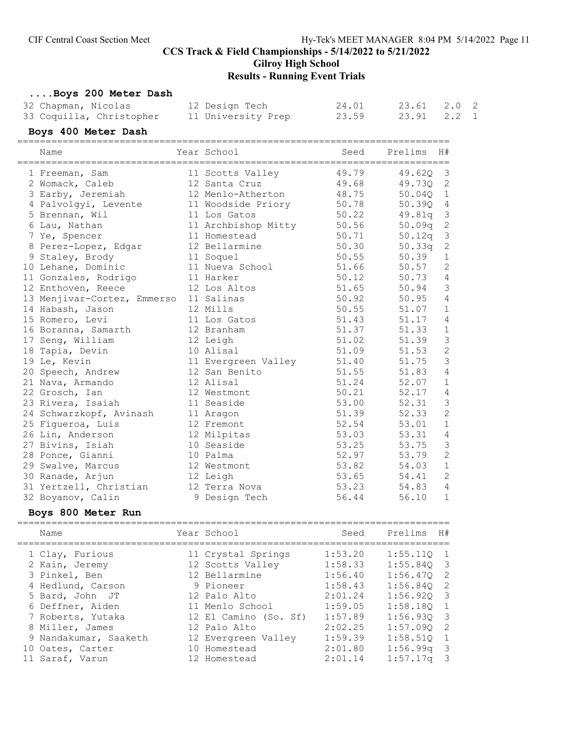# Gilroy High School

# Results - Running Event Trials

| Boys 200 Meter Dash         |                     |       |         |                |  |
|-----------------------------|---------------------|-------|---------|----------------|--|
| 32 Chapman, Nicolas         | 12 Design Tech      | 24.01 | 23.61   | $2.0$ 2        |  |
| 33 Coquilla, Christopher    | 11 University Prep  | 23.59 | 23.91   | $2.2 \quad 1$  |  |
| Boys 400 Meter Dash         |                     |       |         |                |  |
|                             |                     |       |         |                |  |
| Name                        | Year School         | Seed  | Prelims | H#             |  |
| 1 Freeman, Sam              | 11 Scotts Valley    | 49.79 | 49.62Q  | 3              |  |
| 2 Womack, Caleb             | 12 Santa Cruz       | 49.68 | 49.73Q  | 2              |  |
| 3 Earby, Jeremiah           | 12 Menlo-Atherton   | 48.75 | 50.040  | 1              |  |
| 4 Palvolgyi, Levente        | 11 Woodside Priory  | 50.78 | 50.390  | 4              |  |
| 5 Brennan, Wil              | 11 Los Gatos        | 50.22 | 49.81q  | 3              |  |
| 6 Lau, Nathan               | 11 Archbishop Mitty | 50.56 | 50.09q  | 2              |  |
| 7 Ye, Spencer               | 11 Homestead        | 50.71 | 50.12q  | 3              |  |
| 8 Perez-Lopez, Edgar        | 12 Bellarmine       | 50.30 | 50.33q  | 2              |  |
| 9 Staley, Brody             | 11 Soquel           | 50.55 | 50.39   | $\mathbf 1$    |  |
| 10 Lehane, Dominic          | 11 Nueva School     | 51.66 | 50.57   | $\mathbf{2}$   |  |
| 11 Gonzales, Rodrigo        | 11 Harker           | 50.12 | 50.73   | $\overline{4}$ |  |
| 12 Enthoven, Reece          | 12 Los Altos        | 51.65 | 50.94   | 3              |  |
| 13 Menjivar-Cortez, Emmerso | 11 Salinas          | 50.92 | 50.95   | 4              |  |
| 14 Habash, Jason            | 12 Mills            | 50.55 | 51.07   | $\mathbf{1}$   |  |
| 15 Romero, Levi             | 11 Los Gatos        | 51.43 | 51.17   | 4              |  |
| 16 Boranna, Samarth         | 12 Branham          | 51.37 | 51.33   | 1              |  |
| 17 Seng, William            | 12 Leigh            | 51.02 | 51.39   | 3              |  |
| 18 Tapia, Devin             | 10 Alisal           | 51.09 | 51.53   | $\mathbf{2}$   |  |
| 19 Le, Kevin                | 11 Evergreen Valley | 51.40 | 51.75   | 3              |  |
| 20 Speech, Andrew           | 12 San Benito       | 51.55 | 51.83   | 4              |  |
| 21 Nava, Armando            | 12 Alisal           | 51.24 | 52.07   | $1\,$          |  |
| 22 Grosch, Ian              | 12 Westmont         | 50.21 | 52.17   | 4              |  |
| 23 Rivera, Isaiah           | 11 Seaside          | 53.00 | 52.31   | 3              |  |
| 24 Schwarzkopf, Avinash     | 11 Aragon           | 51.39 | 52.33   | 2              |  |
| 25 Figueroa, Luis           | 12 Fremont          | 52.54 | 53.01   | 1              |  |
| 26 Lin, Anderson            | 12 Milpitas         | 53.03 | 53.31   | 4              |  |
| 27 Bivins, Isiah            | 10 Seaside          | 53.25 | 53.75   | 3              |  |
| 28 Ponce, Gianni            | 10 Palma            | 52.97 | 53.79   | $\overline{2}$ |  |
| 29 Swalve, Marcus           | 12 Westmont         | 53.82 | 54.03   | $1\,$          |  |
| 30 Ranade, Arjun            | 12 Leigh            | 53.65 | 54.41   | $\mathbf{2}$   |  |
| 31 Yertzell, Christian      | 12 Terra Nova       | 53.23 | 54.83   | 4              |  |
| 32 Boyanov, Calin           | 9 Design Tech       | 56.44 | 56.10   | $\mathbf{1}$   |  |

# Boys 800 Meter Run

| Name                                                                    | Year School                                                          | Seed                                     | Prelims<br>H#                                                                  |    |
|-------------------------------------------------------------------------|----------------------------------------------------------------------|------------------------------------------|--------------------------------------------------------------------------------|----|
| 1 Clay, Furious<br>2 Kain, Jeremy<br>3 Pinkel, Ben<br>4 Hedlund, Carson | 11 Crystal Springs<br>12 Scotts Valley<br>12 Bellarmine<br>9 Pioneer | 1:53.20<br>1:58.33<br>1:56.40<br>1:58.43 | 1:55.110<br>-1<br>$1:55.840$ 3<br>1:56.470<br>$\overline{2}$<br>1:56.840<br>-2 |    |
| 5 Bard, John JT<br>6 Deffner, Aiden                                     | 12 Palo Alto<br>11 Menlo School                                      | 2:01.24<br>1:59.05                       | 1:56.920<br>$\overline{\mathbf{3}}$<br>1:58.180<br>1                           |    |
| 7 Roberts, Yutaka<br>8 Miller, James<br>9 Nandakumar, Saaketh           | 12 El Camino (So. Sf)<br>12 Palo Alto<br>12 Evergreen Valley         | 1:57.89<br>2:02.25<br>1:59.39            | 1:56.930<br>$\overline{\mathbf{3}}$<br>1:57.090<br>1:58.510<br>1               | -2 |
| 10 Oates, Carter<br>11 Saraf, Varun                                     | 10 Homestead<br>12 Homestead                                         | 2:01.80<br>2:01.14                       | $1:56.99$ q<br>$1:57.17$ q<br>- 3                                              | -3 |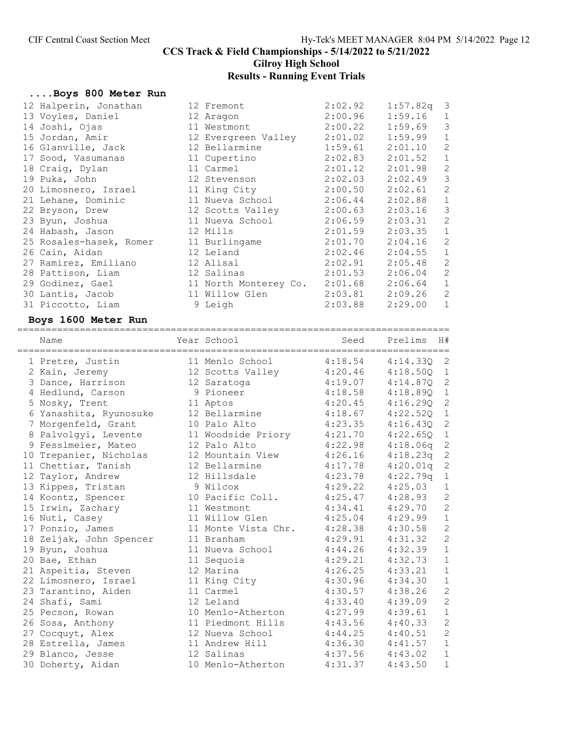# Gilroy High School

# Results - Running Event Trials

# ....Boys 800 Meter Run

| 12 Halperin, Jonathan   | 12 Fremont                  | 2:02.92 | $1:57.82q$ 3 |                |
|-------------------------|-----------------------------|---------|--------------|----------------|
| 13 Voyles, Daniel       | 12 Aragon                   | 2:00.96 | 1:59.16      | $\mathbf 1$    |
| 14 Joshi, Ojas          | 11 Westmont                 | 2:00.22 | 1:59.69      | 3              |
| 15 Jordan, Amir         | 12 Evergreen Valley 2:01.02 |         | 1:59.99      | $\mathbf{1}$   |
| 16 Glanville, Jack      | 12 Bellarmine               | 1:59.61 | 2:01.10      | $\mathbf{2}$   |
| 17 Sood, Vasumanas      | 11 Cupertino                | 2:02.83 | 2:01.52      | $\mathbf{1}$   |
| 18 Craig, Dylan         | 11 Carmel                   | 2:01.12 | 2:01.98      | $\overline{c}$ |
| 19 Puka, John           | 12 Stevenson                | 2:02.03 | 2:02.49      | 3              |
| 20 Limosnero, Israel    | 11 King City                | 2:00.50 | 2:02.61      | 2              |
| 21 Lehane, Dominic      | 11 Nueva School             | 2:06.44 | 2:02.88      | $\mathbf{1}$   |
| 22 Bryson, Drew         | 12 Scotts Valley 2:00.63    |         | 2:03.16      | 3              |
| 23 Byun, Joshua         | 11 Nueva School 2:06.59     |         | 2:03.31      | 2              |
| 24 Habash, Jason        | 12 Mills                    | 2:01.59 | 2:03.35      | $\mathbf{1}$   |
| 25 Rosales-hasek, Romer | 11 Burlingame               | 2:01.70 | 2:04.16      | 2              |
| 26 Cain, Aidan          | 12 Leland                   | 2:02.46 | 2:04.55      | $\mathbf{1}$   |
| 27 Ramirez, Emiliano    | 12 Alisal                   | 2:02.91 | 2:05.48      | 2              |
| 28 Pattison, Liam       | 12 Salinas                  | 2:01.53 | 2:06.04      | 2              |
| 29 Godinez, Gael        | 11 North Monterey Co.       | 2:01.68 | 2:06.64      | $\mathbf{1}$   |
| 30 Lantis, Jacob        | 11 Willow Glen              | 2:03.81 | 2:09.26      | 2              |
| 31 Piccotto, Liam       | 9 Leigh                     | 2:03.88 | 2:29.00      | $\mathbf{1}$   |

# Boys 1600 Meter Run

| Name                    | Year School         | Seed    | Prelims  | H#             |
|-------------------------|---------------------|---------|----------|----------------|
| 1 Pretre, Justin        | 11 Menlo School     | 4:18.54 | 4:14.330 | -2             |
| 2 Kain, Jeremy          | 12 Scotts Valley    | 4:20.46 | 4:18.500 | $\mathbf{1}$   |
| 3 Dance, Harrison       | 12 Saratoga         | 4:19.07 | 4:14.870 | $\mathbf{2}$   |
| 4 Hedlund, Carson       | 9 Pioneer           | 4:18.58 | 4:18.89Q | $\mathbf 1$    |
| 5 Nosky, Trent          | 11 Aptos            | 4:20.45 | 4:16.290 | $\overline{c}$ |
| 6 Yanashita, Ryunosuke  | 12 Bellarmine       | 4:18.67 | 4:22.520 | $1\,$          |
| 7 Morgenfeld, Grant     | 10 Palo Alto        | 4:23.35 | 4:16.43Q | $\mathbf{2}$   |
| 8 Palvolgyi, Levente    | 11 Woodside Priory  | 4:21.70 | 4:22.65Q | $\mathbf{1}$   |
| 9 Fesslmeier, Mateo     | 12 Palo Alto        | 4:22.98 | 4:18.06q | $\mathbf{2}$   |
| 10 Trepanier, Nicholas  | 12 Mountain View    | 4:26.16 | 4:18.23q | $\mathbf{2}$   |
| 11 Chettiar, Tanish     | 12 Bellarmine       | 4:17.78 | 4:20.01q | $\mathbf{2}$   |
| 12 Taylor, Andrew       | 12 Hillsdale        | 4:23.78 | 4:22.79q | $\mathbf 1$    |
| 13 Kippes, Tristan      | 9 Wilcox            | 4:29.22 | 4:25.03  | $\mathbf 1$    |
| 14 Koontz, Spencer      | 10 Pacific Coll.    | 4:25.47 | 4:28.93  | $\overline{c}$ |
| 15 Irwin, Zachary       | 11 Westmont         | 4:34.41 | 4:29.70  | $\overline{c}$ |
| 16 Nuti, Casey          | 11 Willow Glen      | 4:25.04 | 4:29.99  | $1\,$          |
| 17 Ponzio, James        | 11 Monte Vista Chr. | 4:28.38 | 4:30.58  | $\overline{c}$ |
| 18 Zeljak, John Spencer | 11 Branham          | 4:29.91 | 4:31.32  | $\overline{c}$ |
| 19 Byun, Joshua         | 11 Nueva School     | 4:44.26 | 4:32.39  | $1\,$          |
| 20 Bae, Ethan           | 11 Sequoia          | 4:29.21 | 4:32.73  | $1\,$          |
| 21 Aspeitia, Steven     | 12 Marina           | 4:26.25 | 4:33.21  | $\mathbf 1$    |
| 22 Limosnero, Israel    | 11 King City        | 4:30.96 | 4:34.30  | $\mathbf 1$    |
| 23 Tarantino, Aiden     | 11 Carmel           | 4:30.57 | 4:38.26  | $\overline{c}$ |
| 24 Shafi, Sami          | 12 Leland           | 4:33.40 | 4:39.09  | $\overline{c}$ |
| 25 Pecson, Rowan        | 10 Menlo-Atherton   | 4:27.99 | 4:39.61  | $1\,$          |
| 26 Sosa, Anthony        | 11 Piedmont Hills   | 4:43.56 | 4:40.33  | $\overline{c}$ |
| 27 Cocquyt, Alex        | 12 Nueva School     | 4:44.25 | 4:40.51  | $\overline{c}$ |
| 28 Estrella, James      | 11 Andrew Hill      | 4:36.30 | 4:41.57  | $1\,$          |
| 29 Blanco, Jesse        | 12 Salinas          | 4:37.56 | 4:43.02  | $\mathbf{1}$   |
| 30 Doherty, Aidan       | 10 Menlo-Atherton   | 4:31.37 | 4:43.50  | $\mathbf{1}$   |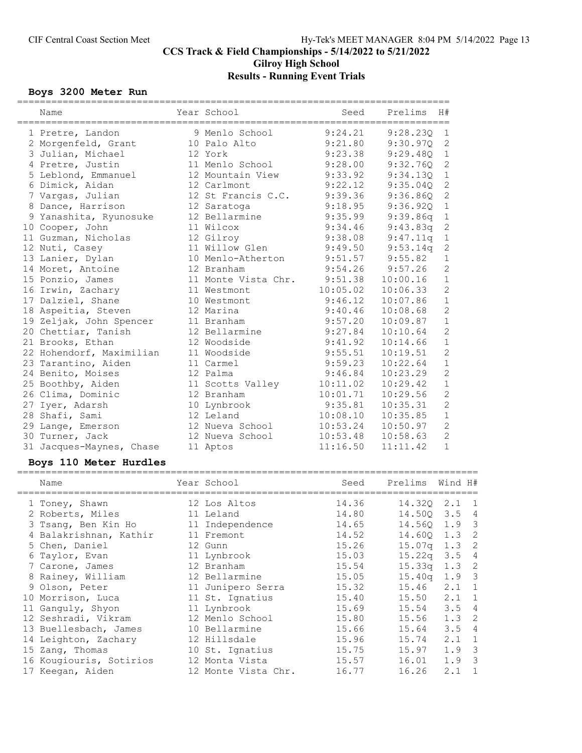# CCS Track & Field Championships - 5/14/2022 to 5/21/2022 Gilroy High School

# Results - Running Event Trials

# Boys 3200 Meter Run

| ===========<br>Name      | Year School         | Seed     | ==================================<br>H#<br>Prelims |                |
|--------------------------|---------------------|----------|-----------------------------------------------------|----------------|
| 1 Pretre, Landon         | 9 Menlo School      | 9:24.21  | 9:28.230                                            | 1              |
| 2 Morgenfeld, Grant      | 10 Palo Alto        | 9:21.80  | 9:30.970                                            | $\mathbf{2}$   |
| 3 Julian, Michael        | 12 York             | 9:23.38  | 9:29.48Q                                            | $\mathbf 1$    |
| 4 Pretre, Justin         | 11 Menlo School     | 9:28.00  | 9:32.76Q                                            | $\sqrt{2}$     |
| 5 Leblond, Emmanuel      | 12 Mountain View    | 9:33.92  | 9:34.13Q                                            | $1\,$          |
| 6 Dimick, Aidan          | 12 Carlmont         | 9:22.12  | 9:35.040                                            | $\mathbf{2}$   |
| 7 Vargas, Julian         | 12 St Francis C.C.  | 9:39.36  | 9:36.860                                            | $\sqrt{2}$     |
| 8 Dance, Harrison        | 12 Saratoga         | 9:18.95  | 9:36.920                                            | $\mathbf{1}$   |
| 9 Yanashita, Ryunosuke   | 12 Bellarmine       | 9:35.99  | 9:39.86q                                            | $\mathbf 1$    |
| 10 Cooper, John          | 11 Wilcox           | 9:34.46  | 9:43.83q                                            | $\mathbf{2}$   |
| 11 Guzman, Nicholas      | 12 Gilroy           | 9:38.08  | 9:47.11q                                            | $\,1$          |
| 12 Nuti, Casey           | 11 Willow Glen      | 9:49.50  | 9:53.14q                                            | $\sqrt{2}$     |
| 13 Lanier, Dylan         | 10 Menlo-Atherton   | 9:51.57  | 9:55.82                                             | $1\,$          |
| 14 Moret, Antoine        | 12 Branham          | 9:54.26  | 9:57.26                                             | $\overline{c}$ |
| 15 Ponzio, James         | 11 Monte Vista Chr. | 9:51.38  | 10:00.16                                            | $\mathbf 1$    |
| 16 Irwin, Zachary        | 11 Westmont         | 10:05.02 | 10:06.33                                            | $\overline{c}$ |
| 17 Dalziel, Shane        | 10 Westmont         | 9:46.12  | 10:07.86                                            | $\,1\,$        |
| 18 Aspeitia, Steven      | 12 Marina           | 9:40.46  | 10:08.68                                            | $\overline{c}$ |
| 19 Zeljak, John Spencer  | 11 Branham          | 9:57.20  | 10:09.87                                            | $1\,$          |
| 20 Chettiar, Tanish      | 12 Bellarmine       | 9:27.84  | 10:10.64                                            | $\overline{2}$ |
| 21 Brooks, Ethan         | 12 Woodside         | 9:41.92  | 10:14.66                                            | $1\,$          |
| 22 Hohendorf, Maximilian | 11 Woodside         | 9:55.51  | 10:19.51                                            | $\overline{c}$ |
| 23 Tarantino, Aiden      | 11 Carmel           | 9:59.23  | 10:22.64                                            | $1\,$          |
| 24 Benito, Moises        | 12 Palma            | 9:46.84  | 10:23.29                                            | $\overline{c}$ |
| 25 Boothby, Aiden        | 11 Scotts Valley    | 10:11.02 | 10:29.42                                            | $\mathbf{1}$   |
| 26 Clima, Dominic        | 12 Branham          | 10:01.71 | 10:29.56                                            | $\mathbf{2}$   |
| 27 Iyer, Adarsh          | 10 Lynbrook         | 9:35.81  | 10:35.31                                            | $\sqrt{2}$     |
| 28 Shafi, Sami           | 12 Leland           | 10:08.10 | 10:35.85                                            | $\,1\,$        |
| 29 Lange, Emerson        | 12 Nueva School     | 10:53.24 | 10:50.97                                            | $\overline{c}$ |
| 30 Turner, Jack          | 12 Nueva School     | 10:53.48 | 10:58.63                                            | $\overline{c}$ |
| 31 Jacques-Maynes, Chase | 11 Aptos            | 11:16.50 | 11:11.42                                            | $\mathbf 1$    |

# Boys 110 Meter Hurdles

| Name |                                                                                                                                                                                                                                                                                                                                                                       | Seed                                                                                                                                                                                                                                                                                                      | Prelims | Wind H#                 |                                                                                                                                                               |
|------|-----------------------------------------------------------------------------------------------------------------------------------------------------------------------------------------------------------------------------------------------------------------------------------------------------------------------------------------------------------------------|-----------------------------------------------------------------------------------------------------------------------------------------------------------------------------------------------------------------------------------------------------------------------------------------------------------|---------|-------------------------|---------------------------------------------------------------------------------------------------------------------------------------------------------------|
|      |                                                                                                                                                                                                                                                                                                                                                                       | 14.36                                                                                                                                                                                                                                                                                                     |         |                         |                                                                                                                                                               |
|      |                                                                                                                                                                                                                                                                                                                                                                       | 14.80                                                                                                                                                                                                                                                                                                     |         |                         |                                                                                                                                                               |
|      |                                                                                                                                                                                                                                                                                                                                                                       | 14.65                                                                                                                                                                                                                                                                                                     |         |                         |                                                                                                                                                               |
|      |                                                                                                                                                                                                                                                                                                                                                                       |                                                                                                                                                                                                                                                                                                           |         |                         | $\overline{\phantom{0}}^2$                                                                                                                                    |
|      |                                                                                                                                                                                                                                                                                                                                                                       | 15.26                                                                                                                                                                                                                                                                                                     |         | $1.3$ 2                 |                                                                                                                                                               |
|      |                                                                                                                                                                                                                                                                                                                                                                       | 15.03                                                                                                                                                                                                                                                                                                     |         | $3.5 \quad 4$           |                                                                                                                                                               |
|      |                                                                                                                                                                                                                                                                                                                                                                       | 15.54                                                                                                                                                                                                                                                                                                     |         | $1.3 \quad 2$           |                                                                                                                                                               |
|      |                                                                                                                                                                                                                                                                                                                                                                       | 15.05                                                                                                                                                                                                                                                                                                     |         | $1.9-3$                 |                                                                                                                                                               |
|      |                                                                                                                                                                                                                                                                                                                                                                       | 15.32                                                                                                                                                                                                                                                                                                     |         | $2.1 \quad 1$           |                                                                                                                                                               |
|      |                                                                                                                                                                                                                                                                                                                                                                       | 15.40                                                                                                                                                                                                                                                                                                     |         |                         | $\overline{1}$                                                                                                                                                |
|      |                                                                                                                                                                                                                                                                                                                                                                       |                                                                                                                                                                                                                                                                                                           |         | 3.5                     | $\overline{4}$                                                                                                                                                |
|      |                                                                                                                                                                                                                                                                                                                                                                       | 15.80                                                                                                                                                                                                                                                                                                     | 15.56   | 1.3                     | $\overline{\phantom{0}}^2$                                                                                                                                    |
|      |                                                                                                                                                                                                                                                                                                                                                                       | 15.66                                                                                                                                                                                                                                                                                                     | 15.64   | 3.5                     | 4                                                                                                                                                             |
|      |                                                                                                                                                                                                                                                                                                                                                                       | 15.96                                                                                                                                                                                                                                                                                                     | 15.74   | $2.1 \quad 1$           |                                                                                                                                                               |
|      |                                                                                                                                                                                                                                                                                                                                                                       | 15.75                                                                                                                                                                                                                                                                                                     | 15.97   | $1.9 \quad 3$           |                                                                                                                                                               |
|      |                                                                                                                                                                                                                                                                                                                                                                       |                                                                                                                                                                                                                                                                                                           | 16.01   | 1.9                     | $\overline{\phantom{a}}$                                                                                                                                      |
|      |                                                                                                                                                                                                                                                                                                                                                                       | 16.77                                                                                                                                                                                                                                                                                                     | 16.26   | 2.1                     | $\overline{1}$                                                                                                                                                |
|      | 1 Toney, Shawn<br>2 Roberts, Miles<br>3 Tsang, Ben Kin Ho<br>4 Balakrishnan, Kathir<br>5 Chen, Daniel<br>6 Taylor, Evan<br>7 Carone, James<br>8 Rainey, William<br>9 Olson, Peter<br>10 Morrison, Luca<br>11 Ganguly, Shyon<br>12 Seshradi, Vikram<br>13 Buellesbach, James<br>14 Leighton, Zachary<br>15 Zang, Thomas<br>16 Kougiouris, Sotirios<br>17 Keegan, Aiden | Year School<br>12 Los Altos<br>11 Leland<br>11 Independence<br>11 Fremont<br>12 Gunn<br>11 Lynbrook<br>12 Branham<br>12 Bellarmine<br>11 Junipero Serra<br>11 St. Ignatius<br>11 Lynbrook<br>12 Menlo School<br>10 Bellarmine<br>12 Hillsdale<br>10 St. Ignatius<br>12 Monta Vista<br>12 Monte Vista Chr. |         | 14.52<br>15.69<br>15.57 | 14.320 2.1 1<br>14.500 3.5 4<br>14.560 1.9 3<br>14.600 1.3<br>15.07 <sub>q</sub><br>15.22a<br>15.33q<br>15.40 <sub>q</sub><br>15.46<br>$15.50$ $2.1$<br>15.54 |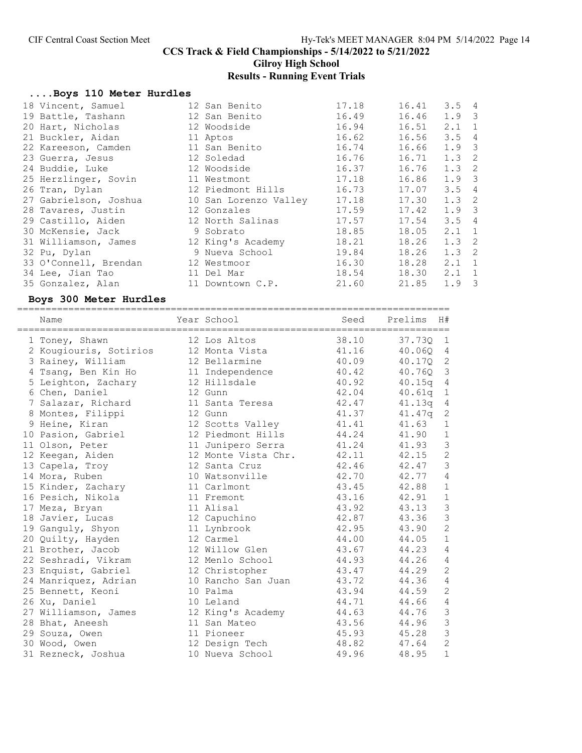Gilroy High School

# Results - Running Event Trials

# ....Boys 110 Meter Hurdles

| 18 Vincent, Samuel    | 12 San Benito               | 17.18 | 16.41 | $3.5 \quad 4$    |  |
|-----------------------|-----------------------------|-------|-------|------------------|--|
| 19 Battle, Tashann    | 12 San Benito               | 16.49 | 16.46 | $1.9 \quad 3$    |  |
| 20 Hart, Nicholas     | 12 Woodside                 | 16.94 | 16.51 | $2.1 \quad 1$    |  |
| 21 Buckler, Aidan     | 11 Aptos                    | 16.62 | 16.56 | 3.54             |  |
| 22 Kareeson, Camden   | 11 San Benito               | 16.74 | 16.66 | $1.9 \quad 3$    |  |
| 23 Guerra, Jesus      | 12 Soledad                  | 16.76 | 16.71 | $1.3 \quad 2$    |  |
| 24 Buddie, Luke       | 12 Woodside                 | 16.37 | 16.76 | $1.3 \quad 2$    |  |
| 25 Herzlinger, Sovin  | 11 Westmont                 | 17.18 | 16.86 | $1.9 \quad 3$    |  |
| 26 Tran, Dylan        | 12 Piedmont Hills           | 16.73 | 17.07 | $3.5 \quad 4$    |  |
| 27 Gabrielson, Joshua | 10 San Lorenzo Valley 17.18 |       | 17.30 | $1.3 \quad 2$    |  |
| 28 Tavares, Justin    | 12 Gonzales                 | 17.59 | 17.42 | 1.9 <sup>3</sup> |  |
| 29 Castillo, Aiden    | 12 North Salinas            | 17.57 | 17.54 | 3.54             |  |
| 30 McKensie, Jack     | 9 Sobrato                   | 18.85 | 18.05 | $2.1 \quad 1$    |  |
| 31 Williamson, James  | 12 King's Academy           | 18.21 | 18.26 | $1.3 \quad 2$    |  |
| 32 Pu, Dylan          | 9 Nueva School              | 19.84 | 18.26 | $1.3 \quad 2$    |  |
| 33 O'Connell, Brendan | 12 Westmoor                 | 16.30 | 18.28 | $2.1 \quad 1$    |  |
| 34 Lee, Jian Tao      | 11 Del Mar                  | 18.54 | 18.30 | $2.1 \quad 1$    |  |
| 35 Gonzalez, Alan     | 11 Downtown C.P.            | 21.60 | 21.85 | $1.9-3$          |  |

#### Boys 300 Meter Hurdles

============================================================================

| Name<br>====================================== | Year School         | Seed  | Prelims<br>H#            |
|------------------------------------------------|---------------------|-------|--------------------------|
| 1 Toney, Shawn                                 | 12 Los Altos        | 38.10 | 37.73Q<br>$\mathbf{1}$   |
| 2 Kougiouris, Sotirios                         | 12 Monta Vista      | 41.16 | 40.06Q<br>$\overline{4}$ |
| 3 Rainey, William                              | 12 Bellarmine       | 40.09 | $\mathbf{2}$<br>40.17Q   |
| 4 Tsang, Ben Kin Ho                            | 11 Independence     | 40.42 | 3<br>40.760              |
| 5 Leighton, Zachary                            | 12 Hillsdale        | 40.92 | 40.15q<br>4              |
| 6 Chen, Daniel                                 | 12 Gunn             | 42.04 | 40.61q<br>$\mathbf{1}$   |
| 7 Salazar, Richard                             | 11 Santa Teresa     | 42.47 | $\overline{4}$<br>41.13q |
| 8 Montes, Filippi                              | 12 Gunn             | 41.37 | $\mathbf{2}$<br>41.47q   |
| 9 Heine, Kiran                                 | 12 Scotts Valley    | 41.41 | 41.63<br>$\mathbf 1$     |
| 10 Pasion, Gabriel                             | 12 Piedmont Hills   | 44.24 | $\mathbf 1$<br>41.90     |
| 11 Olson, Peter                                | 11 Junipero Serra   | 41.24 | $\mathfrak{Z}$<br>41.93  |
| 12 Keegan, Aiden                               | 12 Monte Vista Chr. | 42.11 | $\mathbf{2}$<br>42.15    |
| 13 Capela, Troy                                | 12 Santa Cruz       | 42.46 | $\mathfrak{Z}$<br>42.47  |
| 14 Mora, Ruben                                 | 10 Watsonville      | 42.70 | $\sqrt{4}$<br>42.77      |
| 15 Kinder, Zachary                             | 11 Carlmont         | 43.45 | $\mathbf 1$<br>42.88     |
| 16 Pesich, Nikola                              | 11 Fremont          | 43.16 | $\mathbf 1$<br>42.91     |
| 17 Meza, Bryan                                 | 11 Alisal           | 43.92 | $\mathfrak{Z}$<br>43.13  |
| 18 Javier, Lucas                               | 12 Capuchino        | 42.87 | $\mathfrak{Z}$<br>43.36  |
| 19 Ganguly, Shyon                              | 11 Lynbrook         | 42.95 | $\overline{c}$<br>43.90  |
| 20 Quilty, Hayden                              | 12 Carmel           | 44.00 | $\mathbf 1$<br>44.05     |
| 21 Brother, Jacob                              | 12 Willow Glen      | 43.67 | $\overline{4}$<br>44.23  |
| 22 Seshradi, Vikram                            | 12 Menlo School     | 44.93 | $\overline{4}$<br>44.26  |
| 23 Enquist, Gabriel                            | 12 Christopher      | 43.47 | $\overline{c}$<br>44.29  |
| 24 Manriquez, Adrian                           | 10 Rancho San Juan  | 43.72 | $\sqrt{4}$<br>44.36      |
| 25 Bennett, Keoni                              | 10 Palma            | 43.94 | $\overline{c}$<br>44.59  |
| 26 Xu, Daniel                                  | 10 Leland           | 44.71 | $\sqrt{4}$<br>44.66      |
| 27 Williamson, James                           | 12 King's Academy   | 44.63 | $\mathfrak{Z}$<br>44.76  |
| 28 Bhat, Aneesh                                | 11 San Mateo        | 43.56 | $\mathcal{S}$<br>44.96   |
| 29 Souza, Owen                                 | 11 Pioneer          | 45.93 | $\mathfrak{Z}$<br>45.28  |
| 30 Wood, Owen                                  | 12 Design Tech      | 48.82 | $\overline{c}$<br>47.64  |
| 31 Rezneck, Joshua                             | 10 Nueva School     | 49.96 | $\mathbf 1$<br>48.95     |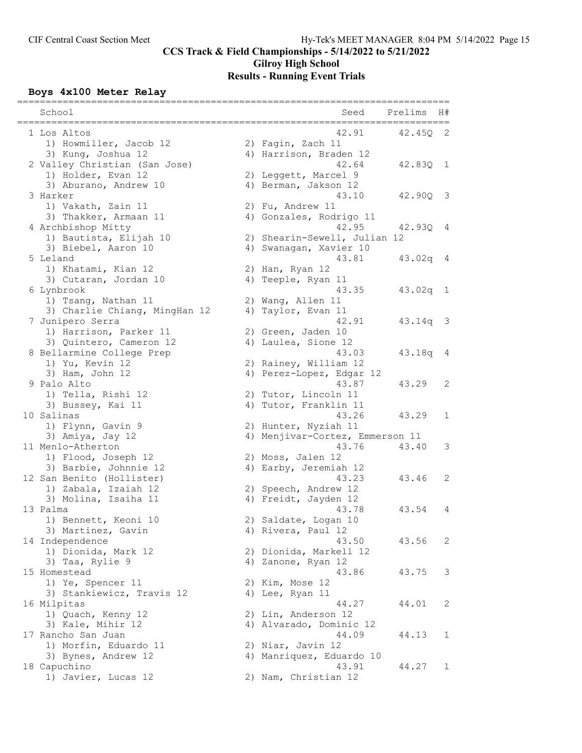# Gilroy High School Results - Running Event Trials

# Boys 4x100 Meter Relay

| School                        | =================<br>__________<br>Prelims<br>Seed | H#                      |
|-------------------------------|----------------------------------------------------|-------------------------|
| 1 Los Altos                   | 42.91<br>42.45Q                                    | 2                       |
| 1) Howmiller, Jacob 12        | 2) Fagin, Zach 11                                  |                         |
| 3) Kung, Joshua 12            | 4) Harrison, Braden 12                             |                         |
| 2 Valley Christian (San Jose) | 42.64<br>42.830 1                                  |                         |
| 1) Holder, Evan 12            | 2) Leggett, Marcel 9                               |                         |
| 3) Aburano, Andrew 10         | 4) Berman, Jakson 12                               |                         |
| 3 Harker                      | 43.10<br>42.90Q                                    | - 3                     |
| 1) Vakath, Zain 11            | 2) Fu, Andrew 11                                   |                         |
| 3) Thakker, Armaan 11         | 4) Gonzales, Rodrigo 11                            |                         |
| 4 Archbishop Mitty            | 42.95<br>42.93Q                                    | 4                       |
| 1) Bautista, Elijah 10        | 2) Shearin-Sewell, Julian 12                       |                         |
| 3) Biebel, Aaron 10           | 4) Swanagan, Xavier 10                             |                         |
| 5 Leland                      | 43.81<br>$43.02q$ 4                                |                         |
| 1) Khatami, Kian 12           | 2) Han, Ryan 12                                    |                         |
| 3) Cutaran, Jordan 10         | 4) Teeple, Ryan 11                                 |                         |
| 6 Lynbrook                    | 43.35<br>$43.02q$ 1                                |                         |
| 1) Tsang, Nathan 11           | 2) Wang, Allen 11                                  |                         |
| 3) Charlie Chiang, MingHan 12 | 4) Taylor, Evan 11                                 |                         |
| 7 Junipero Serra              | 42.91<br>43.14q                                    | $\overline{\mathbf{3}}$ |
| 1) Harrison, Parker 11        | 2) Green, Jaden 10                                 |                         |
| 3) Quintero, Cameron 12       | 4) Laulea, Sione 12                                |                         |
| 8 Bellarmine College Prep     | 43.03<br>43.18q                                    | 4                       |
| 1) Yu, Kevin 12               | 2) Rainey, William 12                              |                         |
| 3) Ham, John 12               | 4) Perez-Lopez, Edgar 12                           |                         |
| 9 Palo Alto                   | 43.87<br>43.29                                     | 2                       |
| 1) Tella, Rishi 12            | 2) Tutor, Lincoln 11                               |                         |
| 3) Bussey, Kai 11             | 4) Tutor, Franklin 11                              |                         |
| 10 Salinas                    | 43.29<br>43.26                                     | $\mathbf{1}$            |
| 1) Flynn, Gavin 9             | 2) Hunter, Nyziah 11                               |                         |
| 3) Amiya, Jay 12              | 4) Menjivar-Cortez, Emmerson 11                    |                         |
| 11 Menlo-Atherton             | 43.76<br>43.40                                     | 3                       |
| 1) Flood, Joseph 12           | 2) Moss, Jalen 12                                  |                         |
| 3) Barbie, Johnnie 12         | 4) Earby, Jeremiah 12                              |                         |
| 12 San Benito (Hollister)     | 43.23<br>43.46                                     | 2                       |
| 1) Zabala, Izaiah 12          | 2) Speech, Andrew 12                               |                         |
| 3) Molina, Isaiha 11          | 4) Freidt, Jayden 12                               |                         |
| 13 Palma                      | 43.78<br>43.54                                     | 4                       |
| 1) Bennett, Keoni 10          | 2) Saldate, Logan 10                               |                         |
| 3) Martinez, Gavin            | 4) Rivera, Paul 12                                 |                         |
| 14 Independence               | 43.50<br>43.56                                     | 2                       |
| 1) Dionida, Mark 12           | 2) Dionida, Markell 12                             |                         |
| 3) Taa, Rylie 9               | 4) Zanone, Ryan 12                                 |                         |
| 15 Homestead                  | 43.86<br>43.75                                     | 3                       |
| 1) Ye, Spencer 11             | 2) Kim, Mose 12                                    |                         |
| 3) Stankiewicz, Travis 12     | 4) Lee, Ryan 11                                    |                         |
| 16 Milpitas                   | 44.27<br>44.01                                     | 2                       |
| 1) Quach, Kenny 12            | 2) Lin, Anderson 12                                |                         |
| 3) Kale, Mihir 12             | 4) Alvarado, Dominic 12                            |                         |
| 17 Rancho San Juan            | 44.09<br>44.13                                     | 1                       |
| 1) Morfin, Eduardo 11         | 2) Niar, Javin 12                                  |                         |
| 3) Bynes, Andrew 12           | 4) Manriquez, Eduardo 10                           |                         |
| 18 Capuchino                  | 43.91<br>44.27                                     | 1                       |
| 1) Javier, Lucas 12           | 2) Nam, Christian 12                               |                         |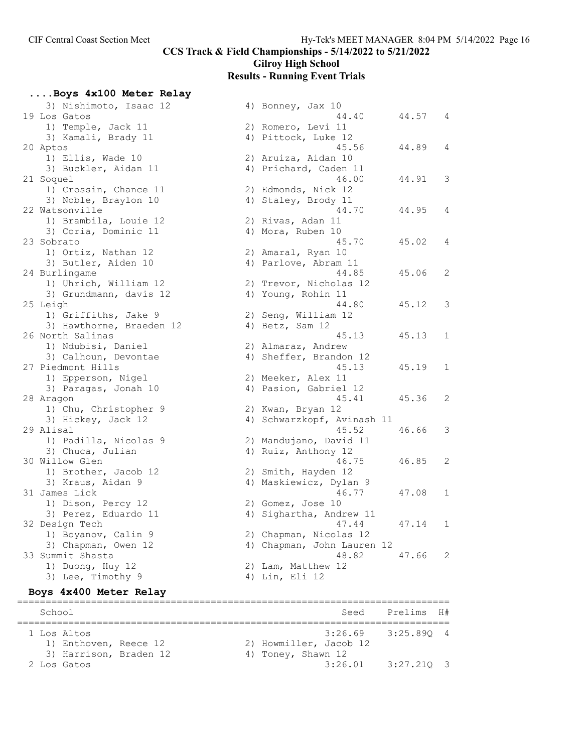....Boys 4x100 Meter Relay

CCS Track & Field Championships - 5/14/2022 to 5/21/2022

# Gilroy High School

#### Results - Running Event Trials

3) Nishimoto, Isaac 12  $\begin{array}{ccc} -4 & -4 & -3 & -4 \\ -3 & -4 & -4 & -4 \\ -3 & -4 & -4 & -4 \end{array}$  44.40  $\begin{array}{ccc} 44.57 & 4 \end{array}$  19 Los Gatos 44.40 44.57 4 1) Temple, Jack 11 2) Romero, Levi 11 3) Kamali, Brady 11 4) Pittock, Luke 12 1) Ellis, Wade 10 2) Aruiza, Aidan 10 3) Buckler, Aidan 11 4) Prichard, Caden 11 1) Crossin, Chance 11 2) Edmonds, Nick 12 3) Noble, Braylon 10 4) Staley, Brody 11 1) Brambila, Louie 12 (2) Rivas, Adan 11 3) Coria, Dominic 11 (4) Mora, Ruben 10 1) Ortiz, Nathan 12 2) Amaral, Ryan 10 3) Butler, Aiden 10 4) Parlove, Abram 11 1) Uhrich, William 12 2) Trevor, Nicholas 12 3) Grundmann, davis 12 (4) Young, Rohin 11 1) Griffiths, Jake 9 2) Seng, William 12 3) Hawthorne, Braeden 12 (4) Betz, Sam 12 1) Ndubisi, Daniel 2) Almaraz, Andrew 3) Calhoun, Devontae  $\begin{array}{ccc} 4 & 4 \end{array}$  Sheffer, Brandon 12 1) Epperson, Nigel 2) Meeker, Alex 11 3) Paragas, Jonah 10 4) Pasion, Gabriel 12 1) Chu, Christopher 9 2) Kwan, Bryan 12 1) Padilla, Nicolas 9 2) Mandujano, David 11 3) Chuca, Julian 1986 (4) Ruiz, Anthony 12 1) Brother, Jacob 12 2) Smith, Hayden 12 3) Kraus, Aidan 9 4) Maskiewicz, Dylan 9 1) Dison, Percy 12 2) Gomez, Jose 10 3) Perez, Eduardo 11 (4) Andrew 11 (4) Andrew 11 1) Boyanov, Calin 9 2) Chapman, Nicolas 12 1) Duong, Huy 12 2) Lam, Matthew 12 3) Lee, Timothy 9 4) Lin, Eli 12

# 20 Aptos 45.56 44.89 4 21 Soquel 46.00 44.91 3 22 Watsonville 44.70 44.95 4 23 Sobrato 45.70 45.02 4 24 Burlingame 44.85 45.06 2 25 Leigh 44.80 45.12 3 26 North Salinas 45.13 45.13 1 27 Piedmont Hills 45.13 45.19 1 28 Aragon 45.41 45.36 2 3) Hickey, Jack 12 4) Schwarzkopf, Avinash 11 29 Alisal 45.52 46.66 3 30 Willow Glen 46.75 46.85 2 31 James Lick 46.77 47.08 1 32 Design Tech 47.44 47.14 1 3) Chapman, Owen 12 4) Chapman, John Lauren 12 33 Summit Shasta 48.82 47.66 2

#### Boys 4x400 Meter Relay

============================================================================ School Seed Prelims H# ============================================================================ 1 Los Altos 3:26.69 3:25.89Q 4 1) Enthoven, Reece 12 2) Howmiller, Jacob 12 3) Harrison, Braden 12 4) Toney, Shawn 12 2 Los Gatos 3:26.01 3:27.21Q 3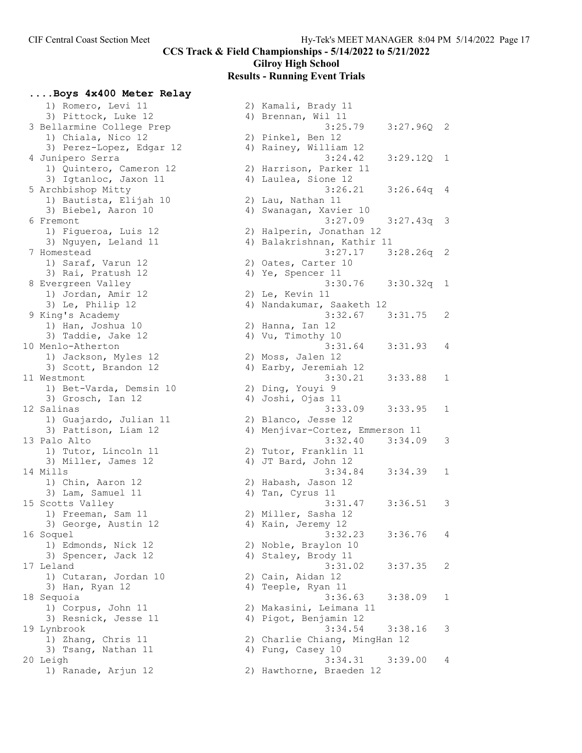Gilroy High School

#### Results - Running Event Trials

# ....Boys 4x400 Meter Relay

| 1) Romero, Levi 11        | 2) Kamali, Brady 11             |              |
|---------------------------|---------------------------------|--------------|
| 3) Pittock, Luke 12       | 4) Brennan, Wil 11              |              |
| 3 Bellarmine College Prep | 3:25.79<br>$3:27.96Q$ 2         |              |
| 1) Chiala, Nico 12        | 2) Pinkel, Ben 12               |              |
| 3) Perez-Lopez, Edgar 12  | 4) Rainey, William 12           |              |
|                           |                                 |              |
| 4 Junipero Serra          | 3:24.42<br>3:29.12Q             | $\mathbf{1}$ |
| 1) Quintero, Cameron 12   | 2) Harrison, Parker 11          |              |
| 3) Igtanloc, Jaxon 11     | 4) Laulea, Sione 12             |              |
| 5 Archbishop Mitty        | 3:26.21<br>$3:26.64q$ 4         |              |
| 1) Bautista, Elijah 10    | 2) Lau, Nathan 11               |              |
| 3) Biebel, Aaron 10       | 4) Swanagan, Xavier 10          |              |
| 6 Fremont                 | 3:27.09<br>$3:27.43q$ 3         |              |
| 1) Figueroa, Luis 12      | 2) Halperin, Jonathan 12        |              |
| 3) Nguyen, Leland 11      | 4) Balakrishnan, Kathir 11      |              |
| 7 Homestead               | 3:27.17<br>$3:28.26q$ 2         |              |
| 1) Saraf, Varun 12        | 2) Oates, Carter 10             |              |
| 3) Rai, Pratush 12        |                                 |              |
|                           | 4) Ye, Spencer 11               |              |
| 8 Evergreen Valley        | 3:30.76 3:30.32q 1              |              |
| 1) Jordan, Amir 12        | 2) Le, Kevin 11                 |              |
| 3) Le, Philip 12          | 4) Nandakumar, Saaketh 12       |              |
| 9 King's Academy          | 3:32.67<br>3:31.75              | 2            |
| 1) Han, Joshua 10         | 2) Hanna, Ian 12                |              |
| 3) Taddie, Jake 12        | 4) Vu, Timothy 10               |              |
| 10 Menlo-Atherton         | 3:31.64<br>3:31.93              | 4            |
| 1) Jackson, Myles 12      | 2) Moss, Jalen 12               |              |
| 3) Scott, Brandon 12      | 4) Earby, Jeremiah 12           |              |
| 11 Westmont               | 3:30.21<br>3:33.88              | 1            |
| 1) Bet-Varda, Demsin 10   | 2) Ding, Youyi 9                |              |
| 3) Grosch, Ian 12         | 4) Joshi, Ojas 11               |              |
| 12 Salinas                | 3:33.09<br>3:33.95              | 1            |
|                           |                                 |              |
| 1) Guajardo, Julian 11    | 2) Blanco, Jesse 12             |              |
| 3) Pattison, Liam 12      | 4) Menjivar-Cortez, Emmerson 11 |              |
| 13 Palo Alto              | 3:32.40<br>3:34.09              | 3            |
| 1) Tutor, Lincoln 11      | 2) Tutor, Franklin 11           |              |
| 3) Miller, James 12       | 4) JT Bard, John 12             |              |
| 14 Mills                  | 3:34.84<br>3:34.39              | 1            |
| 1) Chin, Aaron 12         | 2) Habash, Jason 12             |              |
| 3) Lam, Samuel 11         | 4) Tan, Cyrus 11                |              |
| 15 Scotts Valley          | 3:31.47<br>3:36.51              | 3            |
| 1) Freeman, Sam 11        | 2) Miller, Sasha 12             |              |
| 3) George, Austin 12      | 4) Kain, Jeremy 12              |              |
| 16 Soquel                 | 3:32.23<br>3:36.76              | 4            |
| 1) Edmonds, Nick 12       | 2) Noble, Braylon 10            |              |
| 3) Spencer, Jack 12       | 4) Staley, Brody 11             |              |
| 17 Leland                 | 3:31.02<br>3:37.35              | 2            |
|                           |                                 |              |
| 1) Cutaran, Jordan 10     | 2) Cain, Aidan 12               |              |
| 3) Han, Ryan 12           | 4) Teeple, Ryan 11              |              |
| 18 Sequoia                | 3:36.63<br>3:38.09              | 1            |
| 1) Corpus, John 11        | 2) Makasini, Leimana 11         |              |
| 3) Resnick, Jesse 11      | 4) Pigot, Benjamin 12           |              |
| 19 Lynbrook               | 3:34.54<br>3:38.16              | 3            |
| 1) Zhang, Chris 11        | 2) Charlie Chiang, MingHan 12   |              |
| 3) Tsang, Nathan 11       | 4) Fung, Casey 10               |              |
| 20 Leigh                  | 3:34.31<br>3:39.00              | 4            |
| 1) Ranade, Ariun 12       | 2) Hawthorne, Braeden 12        |              |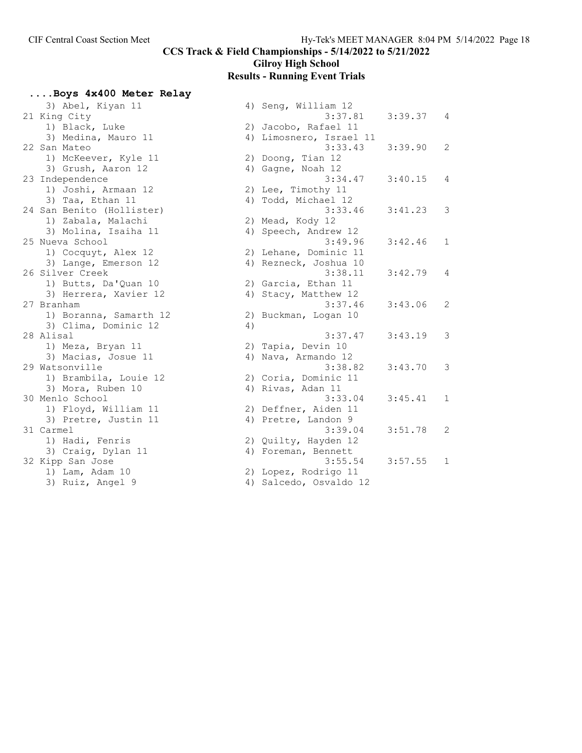Gilroy High School

#### Results - Running Event Trials

....Boys 4x400 Meter Relay

3) Abel, Kiyan 11 21 King City 1) Black, Luke 3) Medina, Mauro 11 22 San Mateo 1) McKeever, Kyle 11 3) Grush, Aaron 12 23 Independence 1) Joshi, Armaan 12 3) Taa, Ethan  $11$ 24 San Benito (Hollister) 1) Zabala, Malachi 3) Molina, Isaiha 11 25 Nueva School 1) Cocquyt, Alex 12 3) Lange, Emerson 12 26 Silver Creek 1) Butts, Da'Quan 10 3) Herrera, Xavier 12 27 Branham 1) Boranna, Samarth 12 3) Clima, Dominic 12 28 Alisal 1) Meza, Bryan 11 3) Macias, Josue 11 29 Watsonville 1) Brambila, Louie 12 3) Mora, Ruben 10 30 Menlo School 1) Floyd, William 11 3) Pretre, Justin 11 31 Carmel 1) Hadi, Fenris 3) Craig, Dylan 11 32 Kipp San Jose 1) Lam, Adam  $10$ 3) Ruiz, Angel 9

| 4) | Seng, William 12                       |         |                |
|----|----------------------------------------|---------|----------------|
|    | 3:37.81                                | 3:39.37 | $\sqrt{4}$     |
| 2) | Jacobo, Rafael 11                      |         |                |
| 4) | Limosnero, Israel 11                   |         |                |
|    | 3:33.43                                | 3:39.90 | 2              |
| 2) | Doong, Tian 12                         |         |                |
| 4) | Gagne, Noah 12                         |         |                |
|    | 3:34.47                                | 3:40.15 | 4              |
| 2) | Lee, Timothy 11                        |         |                |
| 4) | Todd, Michael 12                       |         |                |
|    | 3:33.46                                | 3:41.23 | 3              |
| 2) | Mead, Kody 12                          |         |                |
| 4) | Speech, Andrew 12                      |         |                |
|    | 3:49.96                                | 3:42.46 | 1              |
| 2) | Lehane, Dominic 11                     |         |                |
| 4) | Rezneck, Joshua 10                     |         |                |
|    | 3:38.11                                | 3:42.79 | 4              |
| 2) | Garcia, Ethan 11                       |         |                |
| 4) | Stacy, Matthew 12                      |         |                |
|    | 3:37.46                                | 3:43.06 | $\overline{2}$ |
| 2) | Buckman, Logan 10                      |         |                |
| 4) |                                        |         |                |
|    | 3:37.47                                | 3:43.19 | 3              |
| 2) | Tapia, Devin 10                        |         |                |
| 4) | Nava, Armando 12                       |         |                |
|    | 3:38.82                                | 3:43.70 | 3              |
|    | 2) Coria, Dominic 11<br>Rivas, Adan 11 |         |                |
| 4) | 3:33.04                                | 3:45.41 | $\mathbf 1$    |
| 2) | Deffner, Aiden 11                      |         |                |
| 4) | Pretre, Landon 9                       |         |                |
|    | 3:39.04                                | 3:51.78 | $\overline{2}$ |
| 2) | Quilty, Hayden 12                      |         |                |
| 4) | Foreman, Bennett                       |         |                |
|    | 3:55.54                                | 3:57.55 | $\mathbf 1$    |
| 2) | Lopez, Rodrigo 11                      |         |                |
| 4) | Salcedo, Osvaldo 12                    |         |                |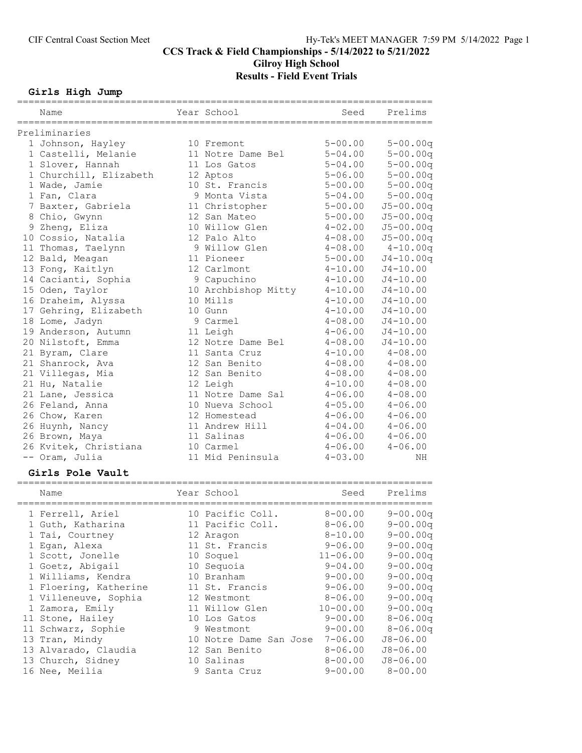# Gilroy High School Results - Field Event Trials

# Girls High Jump

| Name                                    | Year School                | Seed        | Prelims                      |
|-----------------------------------------|----------------------------|-------------|------------------------------|
| Preliminaries                           |                            |             |                              |
|                                         | 10 Fremont                 | $5 - 00.00$ |                              |
| 1 Johnson, Hayley                       | 11 Notre Dame Bel          | $5 - 04.00$ | $5 - 00.00q$<br>$5 - 00.00q$ |
| 1 Castelli, Melanie<br>1 Slover, Hannah | 11 Los Gatos               | $5 - 04.00$ | $5 - 00.00q$                 |
|                                         |                            |             |                              |
| 1 Churchill, Elizabeth                  | 12 Aptos<br>10 St. Francis | $5 - 06.00$ | $5 - 00.00q$                 |
| 1 Wade, Jamie                           |                            | $5 - 00.00$ | $5 - 00.00q$                 |
| 1 Fan, Clara                            | 9 Monta Vista              | $5 - 04.00$ | $5 - 00.00q$                 |
| 7 Baxter, Gabriela                      | 11 Christopher             | $5 - 00.00$ | $J5 - 00.00q$                |
| 8 Chio, Gwynn                           | 12 San Mateo               | $5 - 00.00$ | $J5 - 00.00q$                |
| 9 Zheng, Eliza                          | 10 Willow Glen             | $4 - 02.00$ | $J5 - 00.00q$                |
| 10 Cossio, Natalia                      | 12 Palo Alto               | $4 - 08.00$ | $J5 - 00.00q$                |
| 11 Thomas, Taelynn                      | 9 Willow Glen              | $4 - 08.00$ | $4 - 10.00q$                 |
| 12 Bald, Meagan                         | 11 Pioneer                 | $5 - 00.00$ | $J4 - 10.00q$                |
| 13 Fong, Kaitlyn                        | 12 Carlmont                | $4 - 10.00$ | $J4 - 10.00$                 |
| 14 Cacianti, Sophia                     | 9 Capuchino                | $4 - 10.00$ | $J4 - 10.00$                 |
| 15 Oden, Taylor                         | 10 Archbishop Mitty        | $4 - 10.00$ | $J4 - 10.00$                 |
| 16 Draheim, Alyssa                      | 10 Mills                   | $4 - 10.00$ | $J4 - 10.00$                 |
| 17 Gehring, Elizabeth                   | 10 Gunn                    | $4 - 10.00$ | $J4 - 10.00$                 |
| 18 Lome, Jadyn                          | 9 Carmel                   | $4 - 08.00$ | $J4 - 10.00$                 |
| 19 Anderson, Autumn                     | 11 Leigh                   | $4 - 06.00$ | $J4 - 10.00$                 |
| 20 Nilstoft, Emma                       | 12 Notre Dame Bel          | $4 - 08.00$ | $J4 - 10.00$                 |
| 21 Byram, Clare                         | 11 Santa Cruz              | $4 - 10.00$ | $4 - 08.00$                  |
| 21 Shanrock, Ava                        | 12 San Benito              | $4 - 08.00$ | $4 - 08.00$                  |
| 21 Villegas, Mia                        | 12 San Benito              | $4 - 08.00$ | $4 - 08.00$                  |
| 21 Hu, Natalie                          | 12 Leigh                   | $4 - 10.00$ | $4 - 08.00$                  |
| 21 Lane, Jessica                        | 11 Notre Dame Sal          | $4 - 06.00$ | $4 - 08.00$                  |
| 26 Feland, Anna                         | 10 Nueva School            | $4 - 05.00$ | $4 - 06.00$                  |
| 26 Chow, Karen                          | 12 Homestead               | $4 - 06.00$ | $4 - 06.00$                  |
| 26 Huynh, Nancy                         | 11 Andrew Hill             | $4 - 04.00$ | $4 - 06.00$                  |
| 26 Brown, Maya                          | 11 Salinas                 | $4 - 06.00$ | $4 - 06.00$                  |
| 26 Kvitek, Christiana                   | 10 Carmel                  | $4 - 06.00$ | $4 - 06.00$                  |
| -- Oram, Julia                          | 11 Mid Peninsula           | $4 - 03.00$ | ΝH                           |

#### Girls Pole Vault

| Name                  |    | Year School         | Seed         | Prelims      |
|-----------------------|----|---------------------|--------------|--------------|
| 1 Ferrell, Ariel      |    | 10 Pacific Coll.    | $8 - 00.00$  | $9 - 00.00q$ |
| 1 Guth, Katharina     |    | 11 Pacific Coll.    | $8 - 06.00$  | $9 - 00.00q$ |
| 1 Tai, Courtney       |    | 12 Aragon           | $8 - 10.00$  | $9 - 00.00q$ |
| 1 Egan, Alexa         |    | 11 St. Francis      | $9 - 06.00$  | $9 - 00.00q$ |
| 1 Scott, Jonelle      |    | 10 Soquel           | $11 - 06.00$ | $9 - 00.00q$ |
| 1 Goetz, Abigail      | 10 | Sequoia             | $9 - 04.00$  | $9 - 00.00q$ |
| 1 Williams, Kendra    |    | 10 Branham          | $9 - 00.00$  | $9 - 00.00q$ |
| 1 Floering, Katherine |    | 11 St. Francis      | $9 - 06.00$  | $9 - 00.00q$ |
| 1 Villeneuve, Sophia  |    | 12 Westmont         | $8 - 06.00$  | $9 - 00.00q$ |
| 1 Zamora, Emily       |    | 11 Willow Glen      | $10 - 00.00$ | $9 - 00.00q$ |
| 11 Stone, Hailey      |    | 10 Los Gatos        | $9 - 00.00$  | $8 - 06.00q$ |
| 11 Schwarz, Sophie    |    | 9 Westmont          | $9 - 00.00$  | $8 - 06.00q$ |
| 13 Tran, Mindy        | 10 | Notre Dame San Jose | $7 - 06.00$  | $J8 - 06.00$ |
| 13 Alvarado, Claudia  |    | 12 San Benito       | $8 - 06.00$  | $J8 - 06.00$ |
| 13 Church, Sidney     | 10 | Salinas             | $8 - 00.00$  | $J8 - 06.00$ |
| 16 Nee, Meilia        | 9. | Santa Cruz          | $9 - 00.00$  | $8 - 00.00$  |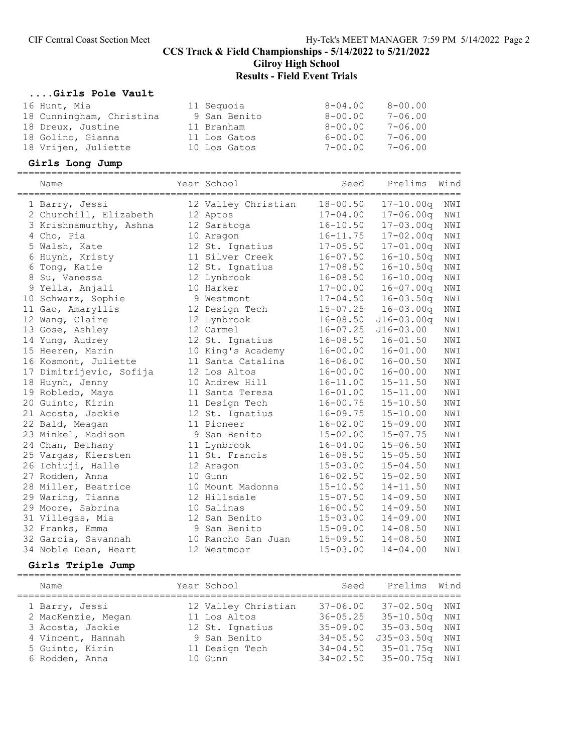# Gilroy High School

# Results - Field Event Trials

#### ....Girls Pole Vault

| 16 Hunt, Mia             | 11 Sequoia   | $8 - 04.00$ | $8 - 00.00$ |
|--------------------------|--------------|-------------|-------------|
| 18 Cunningham, Christina | 9 San Benito | $8 - 00.00$ | $7 - 06.00$ |
| 18 Dreux, Justine        | 11 Branham   | $8 - 00.00$ | $7 - 06.00$ |
| 18 Golino, Gianna        | 11 Los Gatos | $6 - 00.00$ | $7 - 06.00$ |
| 18 Vrijen, Juliette      | 10 Los Gatos | $7 - 00.00$ | $7 - 06.00$ |

#### Girls Long Jump

| Name                    | Year School         | Seed         | ============================<br>Prelims | Wind           |
|-------------------------|---------------------|--------------|-----------------------------------------|----------------|
| 1 Barry, Jessi          | 12 Valley Christian | $18 - 00.50$ | $17 - 10.00q$                           | NWI            |
| 2 Churchill, Elizabeth  | 12 Aptos            | $17 - 04.00$ | $17 - 06.00q$                           | NWI            |
| 3 Krishnamurthy, Ashna  | 12 Saratoga         | $16 - 10.50$ | $17 - 03.00q$                           | NWI            |
| 4 Cho, Pia              | 10 Aragon           | $16 - 11.75$ | $17 - 02.00q$                           | NWI            |
| 5 Walsh, Kate           | 12 St. Ignatius     | $17 - 05.50$ | $17 - 01.00q$                           | $\texttt{NWI}$ |
| 6 Huynh, Kristy         | 11 Silver Creek     | $16 - 07.50$ | $16 - 10.50q$                           | NWI            |
| 6 Tong, Katie           | 12 St. Ignatius     | $17 - 08.50$ | $16 - 10.50q$                           | NWI            |
| 8 Su, Vanessa           | 12 Lynbrook         | $16 - 08.50$ | $16 - 10.00q$                           | NWI            |
| 9 Yella, Anjali         | 10 Harker           | $17 - 00.00$ | $16 - 07.00q$                           | NWI            |
| 10 Schwarz, Sophie      | 9 Westmont          | $17 - 04.50$ | $16 - 03.50q$                           | NWI            |
| 11 Gao, Amaryllis       | 12 Design Tech      | $15 - 07.25$ | $16 - 03.00q$                           | NWI            |
| 12 Wang, Claire         | 12 Lynbrook         | $16 - 08.50$ | $J16 - 03.00q$                          | NWI            |
| 13 Gose, Ashley         | 12 Carmel           | $16 - 07.25$ | $J16 - 03.00$                           | NWI            |
| 14 Yung, Audrey         | 12 St. Ignatius     | $16 - 08.50$ | $16 - 01.50$                            | NWI            |
| 15 Heeren, Marin        | 10 King's Academy   | $16 - 00.00$ | $16 - 01.00$                            | NWI            |
| 16 Kosmont, Juliette    | 11 Santa Catalina   | $16 - 06.00$ | $16 - 00.50$                            | NWI            |
| 17 Dimitrijevic, Sofija | 12 Los Altos        | $16 - 00.00$ | $16 - 00.00$                            | NWI            |
| 18 Huynh, Jenny         | 10 Andrew Hill      | $16 - 11.00$ | $15 - 11.50$                            | NWI            |
| 19 Robledo, Maya        | 11 Santa Teresa     | $16 - 01.00$ | $15 - 11.00$                            | NWI            |
| 20 Guinto, Kirin        | 11 Design Tech      | $16 - 00.75$ | $15 - 10.50$                            | NWI            |
| 21 Acosta, Jackie       | 12 St. Ignatius     | $16 - 09.75$ | $15 - 10.00$                            | NWI            |
| 22 Bald, Meagan         | 11 Pioneer          | $16 - 02.00$ | $15 - 09.00$                            | NWI            |
| 23 Minkel, Madison      | 9 San Benito        | $15 - 02.00$ | $15 - 07.75$                            | NWI            |
| 24 Chan, Bethany        | 11 Lynbrook         | $16 - 04.00$ | $15 - 06.50$                            | NWI            |
| 25 Vargas, Kiersten     | 11 St. Francis      | $16 - 08.50$ | $15 - 05.50$                            | NWI            |
| 26 Ichiuji, Halle       | 12 Aragon           | $15 - 03.00$ | $15 - 04.50$                            | NWI            |
| 27 Rodden, Anna         | 10 Gunn             | $16 - 02.50$ | $15 - 02.50$                            | NWI            |
| 28 Miller, Beatrice     | 10 Mount Madonna    | $15 - 10.50$ | $14 - 11.50$                            | NWI            |
| 29 Waring, Tianna       | 12 Hillsdale        | $15 - 07.50$ | $14 - 09.50$                            | NWI            |
| 29 Moore, Sabrina       | 10 Salinas          | $16 - 00.50$ | $14 - 09.50$                            | NWI            |
| 31 Villegas, Mia        | 12 San Benito       | $15 - 03.00$ | $14 - 09.00$                            | NWI            |
| 32 Franks, Emma         | 9 San Benito        | $15 - 09.00$ | $14 - 08.50$                            | NWI            |
| 32 Garcia, Savannah     | 10 Rancho San Juan  | $15 - 09.50$ | $14 - 08.50$                            | NWI            |
| 34 Noble Dean, Heart    | 12 Westmoor         | $15 - 03.00$ | $14 - 04.00$                            | NWI            |

# Girls Triple Jump

| Name               | Year School         | Seed         | Prelims        | Wind |
|--------------------|---------------------|--------------|----------------|------|
| 1 Barry, Jessi     | 12 Valley Christian | $37 - 06.00$ | 37-02.50g NWI  |      |
| 2 MacKenzie, Megan | 11 Los Altos        | $36 - 05.25$ | 35-10.50g NWI  |      |
| 3 Acosta, Jackie   | 12 St. Ignatius     | $35 - 09.00$ | 35-03.50q NWI  |      |
| 4 Vincent, Hannah  | 9 San Benito        | $34 - 05.50$ | $J35 - 03.50q$ | NWI  |
| 5 Guinto, Kirin    | 11 Design Tech      | $34 - 04.50$ | 35-01.75q      | NWI  |
| 6 Rodden, Anna     | 10 Gunn             | $34 - 02.50$ | 35-00.75q NWI  |      |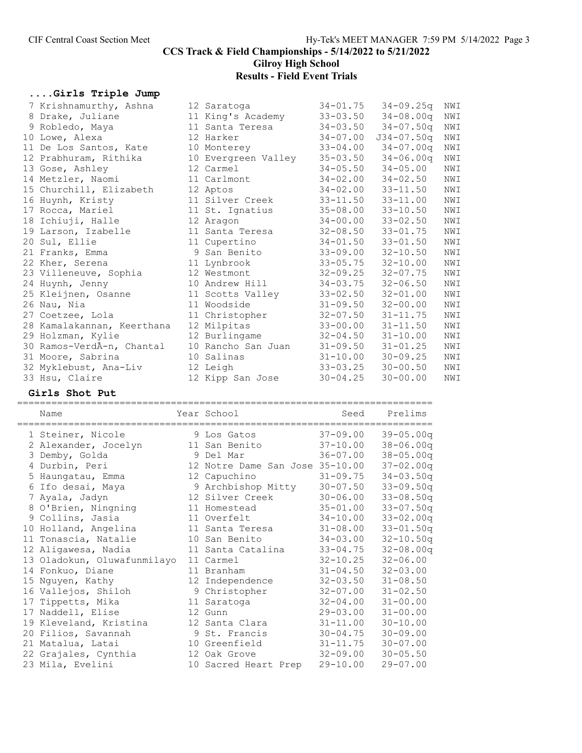Gilroy High School Results - Field Event Trials

# ....Girls Triple Jump

| 7 Krishnamurthy, Ashna     | 12 Saratoga         | $34 - 01.75$ | $34 - 09.25q$  | NWI |
|----------------------------|---------------------|--------------|----------------|-----|
| 8 Drake, Juliane           | 11 King's Academy   | $33 - 03.50$ | $34 - 08.00q$  | NWI |
| 9 Robledo, Maya            | 11 Santa Teresa     | $34 - 03.50$ | $34 - 07.50q$  | NWI |
| 10 Lowe, Alexa             | 12 Harker           | $34 - 07.00$ | $J34 - 07.50q$ | NWI |
| 11 De Los Santos, Kate     | 10 Monterey         | $33 - 04.00$ | $34 - 07.00q$  | NWI |
| 12 Prabhuram, Rithika      | 10 Evergreen Valley | $35 - 03.50$ | $34 - 06.00q$  | NWI |
| 13 Gose, Ashley            | 12 Carmel           | $34 - 05.50$ | $34 - 05.00$   | NWI |
| 14 Metzler, Naomi          | 11 Carlmont         | $34 - 02.00$ | $34 - 02.50$   | NWI |
| 15 Churchill, Elizabeth    | 12 Aptos            | $34 - 02.00$ | $33 - 11.50$   | NWI |
| 16 Huynh, Kristy           | 11 Silver Creek     | $33 - 11.50$ | $33 - 11.00$   | NWI |
| 17 Rocca, Mariel           | 11 St. Ignatius     | $35 - 08.00$ | $33 - 10.50$   | NWI |
| 18 Ichiuji, Halle          | 12 Aragon           | $34 - 00.00$ | $33 - 02.50$   | NWI |
| 19 Larson, Izabelle        | 11 Santa Teresa     | $32 - 08.50$ | $33 - 01.75$   | NWI |
| 20 Sul, Ellie              | 11 Cupertino        | $34 - 01.50$ | $33 - 01.50$   | NWI |
| 21 Franks, Emma            | 9 San Benito        | $33 - 09.00$ | $32 - 10.50$   | NWI |
| 22 Kher, Serena            | 11 Lynbrook         | $33 - 05.75$ | $32 - 10.00$   | NWI |
| 23 Villeneuve, Sophia      | 12 Westmont         | $32 - 09.25$ | $32 - 07.75$   | NWI |
| 24 Huynh, Jenny            | 10 Andrew Hill      | $34 - 03.75$ | $32 - 06.50$   | NWI |
| 25 Kleijnen, Osanne        | 11 Scotts Valley    | $33 - 02.50$ | $32 - 01.00$   | NWI |
| 26 Nau, Nia                | 11 Woodside         | $31 - 09.50$ | $32 - 00.00$   | NWI |
| 27 Coetzee, Lola           | 11 Christopher      | $32 - 07.50$ | $31 - 11.75$   | NWI |
| 28 Kamalakannan, Keerthana | 12 Milpitas         | $33 - 00.00$ | $31 - 11.50$   | NWI |
| 29 Holzman, Kylie          | 12 Burlingame       | $32 - 04.50$ | $31 - 10.00$   | NWI |
| 30 Ramos-VerdÃ-n, Chantal  | 10 Rancho San Juan  | $31 - 09.50$ | $31 - 01.25$   | NWI |
| 31 Moore, Sabrina          | 10 Salinas          | $31 - 10.00$ | $30 - 09.25$   | NWI |
| 32 Myklebust, Ana-Liv      | 12 Leigh            | $33 - 03.25$ | $30 - 00.50$   | NWI |
| 33 Hsu, Claire             | 12 Kipp San Jose    | $30 - 04.25$ | $30 - 00.00$   | NWI |

#### Girls Shot Put

=========================================================================

| Name<br>================================== | Year School<br>----------------------------- | Seed         | Prelims       |
|--------------------------------------------|----------------------------------------------|--------------|---------------|
| 1 Steiner, Nicole                          | 9 Los Gatos                                  | $37 - 09.00$ | $39 - 05.00q$ |
| 2 Alexander, Jocelyn                       | 11 San Benito                                | $37 - 10.00$ | $38 - 06.00q$ |
| 3 Demby, Golda                             | 9 Del Mar                                    | $36 - 07.00$ | $38 - 05.00q$ |
| 4 Durbin, Peri                             | 12 Notre Dame San Jose 35-10.00              |              | $37 - 02.00q$ |
| 5 Haungatau, Emma                          | 12 Capuchino                                 | $31 - 09.75$ | $34 - 03.50q$ |
| 6 Ifo desai, Maya                          | 9 Archbishop Mitty                           | $30 - 07.50$ | $33 - 09.50q$ |
| 7 Ayala, Jadyn                             | 12 Silver Creek                              | $30 - 06.00$ | $33 - 08.50q$ |
| 8 O'Brien, Ningning                        | 11 Homestead                                 | $35 - 01.00$ | $33 - 07.50q$ |
| 9 Collins, Jasia                           | 11 Overfelt                                  | $34 - 10.00$ | $33 - 02.00q$ |
| 10 Holland, Angelina                       | 11 Santa Teresa                              | $31 - 08.00$ | $33 - 01.50q$ |
| 11 Tonascia, Natalie                       | 10 San Benito                                | $34 - 03.00$ | $32 - 10.50q$ |
| 12 Aligawesa, Nadia                        | 11 Santa Catalina                            | $33 - 04.75$ | $32 - 08.00q$ |
| 13 Oladokun, Oluwafunmilayo                | 11 Carmel                                    | $32 - 10.25$ | $32 - 06.00$  |
| 14 Fonkuo, Diane                           | 11 Branham                                   | $31 - 04.50$ | $32 - 03.00$  |
| 15 Nguyen, Kathy                           | 12 Independence                              | $32 - 03.50$ | $31 - 08.50$  |
| 16 Vallejos, Shiloh                        | 9 Christopher                                | $32 - 07.00$ | $31 - 02.50$  |
| 17 Tippetts, Mika                          | 11 Saratoga                                  | $32 - 04.00$ | $31 - 00.00$  |
| 17 Naddell, Elise                          | 12 Gunn                                      | $29 - 03.00$ | $31 - 00.00$  |
| 19 Kleveland, Kristina                     | 12 Santa Clara                               | $31 - 11.00$ | $30 - 10.00$  |
| 20 Filios, Savannah                        | 9 St. Francis                                | $30 - 04.75$ | $30 - 09.00$  |
| 21 Matalua, Latai                          | 10 Greenfield                                | $31 - 11.75$ | $30 - 07.00$  |
| 22 Grajales, Cynthia                       | 12 Oak Grove                                 | $32 - 09.00$ | $30 - 05.50$  |
| 23 Mila, Evelini                           | 10 Sacred Heart Prep                         | $29 - 10.00$ | $29 - 07.00$  |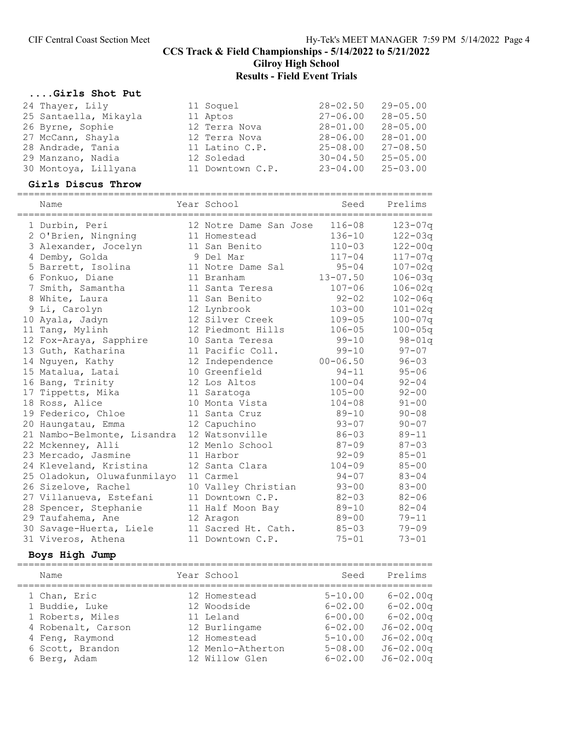# CIF Central Coast Section Meet Hy-Tek's MEET MANAGER 7:59 PM 5/14/2022 Page 4 CCS Track & Field Championships - 5/14/2022 to 5/21/2022 Gilroy High School Results - Field Event Trials

#### ....Girls Shot Put

| 24 Thayer, Lily       | 11 Soquel        | $28 - 02.50$ | $29 - 05.00$ |
|-----------------------|------------------|--------------|--------------|
| 25 Santaella, Mikayla | 11 Aptos         | $27 - 06.00$ | $28 - 05.50$ |
| 26 Byrne, Sophie      | 12 Terra Nova    | $28 - 01.00$ | $28 - 05.00$ |
| 27 McCann, Shayla     | 12 Terra Nova    | $28 - 06.00$ | $28 - 01.00$ |
| 28 Andrade, Tania     | 11 Latino C.P.   | $25 - 08.00$ | $27 - 08.50$ |
| 29 Manzano, Nadia     | 12 Soledad       | $30 - 04.50$ | $25 - 05.00$ |
| 30 Montoya, Lillyana  | 11 Downtown C.P. | $23 - 04.00$ | $25 - 03.00$ |

#### Girls Discus Throw

=========================================================================

| Name                        | Year School            | Seed         | Prelims     |
|-----------------------------|------------------------|--------------|-------------|
| 1 Durbin, Peri              | 12 Notre Dame San Jose | $116 - 08$   | $123 - 07q$ |
| 2 O'Brien, Ningning         | 11 Homestead           | $136 - 10$   | $122 - 03q$ |
| 3 Alexander, Jocelyn        | 11 San Benito          | $110 - 03$   | $122 - 00q$ |
| 4 Demby, Golda              | 9 Del Mar              | $117 - 04$   | $117 - 07q$ |
| 5 Barrett, Isolina          | 11 Notre Dame Sal      | $95 - 04$    | $107 - 02q$ |
| 6 Fonkuo, Diane             | 11 Branham             | $13 - 07.50$ | $106 - 03q$ |
| 7 Smith, Samantha           | 11 Santa Teresa        | $107 - 06$   | $106 - 02q$ |
| 8 White, Laura              | 11 San Benito          | $92 - 02$    | $102 - 06q$ |
| 9 Li, Carolyn               | 12 Lynbrook            | $103 - 00$   | $101 - 02q$ |
| 10 Ayala, Jadyn             | 12 Silver Creek        | $109 - 05$   | $100 - 07q$ |
| 11 Tang, Mylinh             | 12 Piedmont Hills      | $106 - 05$   | $100 - 05q$ |
| 12 Fox-Araya, Sapphire      | 10 Santa Teresa        | $99 - 10$    | $98 - 01q$  |
| 13 Guth, Katharina          | 11 Pacific Coll.       | $99 - 10$    | $97 - 07$   |
| 14 Nguyen, Kathy            | 12 Independence        | $00 - 06.50$ | $96 - 03$   |
| 15 Matalua, Latai           | 10 Greenfield          | $94 - 11$    | $95 - 06$   |
| 16 Bang, Trinity            | 12 Los Altos           | $100 - 04$   | $92 - 04$   |
| 17 Tippetts, Mika           | 11 Saratoga            | $105 - 00$   | $92 - 00$   |
| 18 Ross, Alice              | 10 Monta Vista         | $104 - 08$   | $91 - 00$   |
| 19 Federico, Chloe          | 11 Santa Cruz          | $89 - 10$    | $90 - 08$   |
| 20 Haungatau, Emma          | 12 Capuchino           | $93 - 07$    | $90 - 07$   |
| 21 Nambo-Belmonte, Lisandra | 12 Watsonville         | $86 - 03$    | $89 - 11$   |
| 22 Mckenney, Alli           | 12 Menlo School        | $87 - 09$    | $87 - 03$   |
| 23 Mercado, Jasmine         | 11 Harbor              | $92 - 09$    | $85 - 01$   |
| 24 Kleveland, Kristina      | 12 Santa Clara         | $104 - 09$   | $85 - 00$   |
| 25 Oladokun, Oluwafunmilayo | 11 Carmel              | $94 - 07$    | $83 - 04$   |
| 26 Sizelove, Rachel         | 10 Valley Christian    | $93 - 00$    | $83 - 00$   |
| 27 Villanueva, Estefani     | 11 Downtown C.P.       | $82 - 03$    | $82 - 06$   |
| 28 Spencer, Stephanie       | 11 Half Moon Bay       | $89 - 10$    | $82 - 04$   |
| 29 Taufahema, Ane           | 12 Aragon              | $89 - 00$    | $79 - 11$   |
| 30 Savage-Huerta, Liele     | 11 Sacred Ht. Cath.    | $85 - 03$    | $79 - 09$   |
| 31 Viveros, Athena          | 11 Downtown C.P.       | $75 - 01$    | $73 - 01$   |

# Boys High Jump

| Name               | Year School       | Seed        | Prelims       |
|--------------------|-------------------|-------------|---------------|
| 1 Chan, Eric       | 12 Homestead      | $5 - 10.00$ | $6 - 02.00$ q |
| 1 Buddie, Luke     | 12 Woodside       | $6 - 02.00$ | $6 - 02.00q$  |
| 1 Roberts, Miles   | 11 Leland         | $6 - 00.00$ | $6 - 02.00q$  |
| 4 Robenalt, Carson | 12 Burlingame     | $6 - 02.00$ | $J6 - 02.00q$ |
| 4 Feng, Raymond    | 12 Homestead      | $5 - 10.00$ | $J6 - 02.00q$ |
| 6 Scott, Brandon   | 12 Menlo-Atherton | $5 - 08.00$ | $J6 - 02.00q$ |
| 6 Berg, Adam       | 12 Willow Glen    | $6 - 02.00$ | $J6 - 02.00q$ |
|                    |                   |             |               |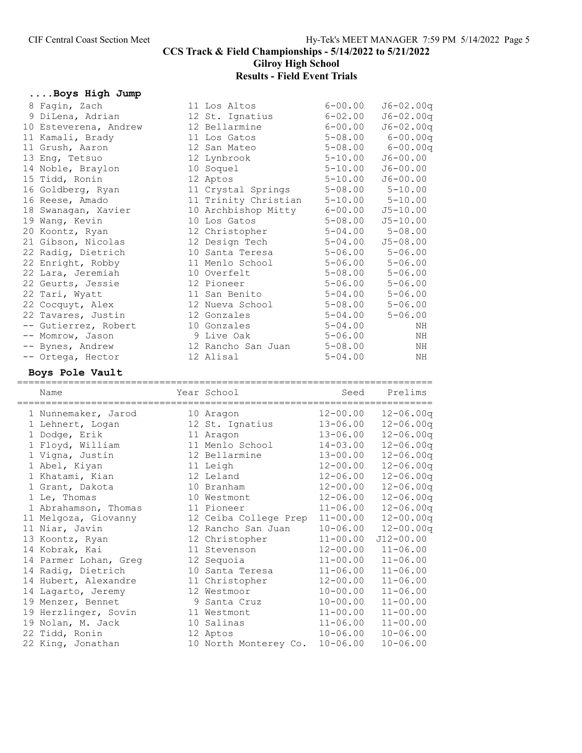CCS Track & Field Championships - 5/14/2022 to 5/21/2022 Gilroy High School

# Results - Field Event Trials

#### ....Boys High Jump

| 8 Fagin, Zach         | 11 Los Altos         | $6 - 00.00$ | $J6 - 02.00q$ |
|-----------------------|----------------------|-------------|---------------|
| 9 DiLena, Adrian      | 12 St. Ignatius      | $6 - 02.00$ | $J6 - 02.00q$ |
| 10 Esteverena, Andrew | 12 Bellarmine        | $6 - 00.00$ | $J6 - 02.00q$ |
| 11 Kamali, Brady      | 11 Los Gatos         | $5 - 08.00$ | $6 - 00.00q$  |
| 11 Grush, Aaron       | 12 San Mateo         | $5 - 08.00$ | $6 - 00.00q$  |
| 13 Eng, Tetsuo        | 12 Lynbrook          | $5 - 10.00$ | $J6 - 00.00$  |
| 14 Noble, Braylon     | 10 Soquel            | $5 - 10.00$ | $J6 - 00.00$  |
| 15 Tidd, Ronin        | 12 Aptos             | $5 - 10.00$ | $J6 - 00.00$  |
| 16 Goldberg, Ryan     | 11 Crystal Springs   | $5 - 08.00$ | $5 - 10.00$   |
| 16 Reese, Amado       | 11 Trinity Christian | $5 - 10.00$ | $5 - 10.00$   |
| 18 Swanagan, Xavier   | 10 Archbishop Mitty  | $6 - 00.00$ | $J5 - 10.00$  |
| 19 Wang, Kevin        | 10 Los Gatos         | $5 - 08.00$ | $J5 - 10.00$  |
| 20 Koontz, Ryan       | 12 Christopher       | $5 - 04.00$ | $5 - 08.00$   |
| 21 Gibson, Nicolas    | 12 Design Tech       | $5 - 04.00$ | $J5 - 08.00$  |
| 22 Radig, Dietrich    | 10 Santa Teresa      | $5 - 06.00$ | $5 - 06.00$   |
| 22 Enright, Robby     | 11 Menlo School      | $5 - 06.00$ | $5 - 06.00$   |
| 22 Lara, Jeremiah     | 10 Overfelt          | $5 - 08.00$ | $5 - 06.00$   |
| 22 Geurts, Jessie     | 12 Pioneer           | $5 - 06.00$ | $5 - 06.00$   |
| 22 Tari, Wyatt        | 11 San Benito        | $5 - 04.00$ | $5 - 06.00$   |
| 22 Cocquyt, Alex      | 12 Nueva School      | $5 - 08.00$ | $5 - 06.00$   |
| 22 Tavares, Justin    | 12 Gonzales          | $5 - 04.00$ | $5 - 06.00$   |
| -- Gutierrez, Robert  | 10 Gonzales          | $5 - 04.00$ | ΝH            |
| -- Momrow, Jason      | 9 Live Oak           | $5 - 06.00$ | ΝH            |
| -- Bynes, Andrew      | 12 Rancho San Juan   | $5 - 08.00$ | ΝH            |
| -- Ortega, Hector     | 12 Alisal            | $5 - 04.00$ | ΝH            |

#### Boys Pole Vault

========================================================================= Name Name Year School Seed Prelims ========================================================================= 1 Nunnemaker, Jarod 10 Aragon 12-00.00 12-06.00q 1 Lehnert, Logan 12 St. Ignatius 13-06.00 12-06.00q 1 Dodge, Erik 11 Aragon 13-06.00 12-06.00q 1 Floyd, William 11 Menlo School 14-03.00 12-06.00q 1 Vigna, Justin 12 Bellarmine 13-00.00 12-06.00q 1 Abel, Kiyan 11 Leigh 12-00.00 12-06.00q 1 Khatami, Kian 12 Leland 12-06.00 12-06.00q 1 Grant, Dakota 10 Branham 12-00.00 12-06.00q 1 Le, Thomas 10 Westmont 12-06.00 12-06.00q 1 Abrahamson, Thomas 11 Pioneer 11-06.00 12-06.00q 11 Melgoza, Giovanny 12 Ceiba College Prep 11-00.00 12-00.00q 11 Niar, Javin 12 Rancho San Juan 10-06.00 12-00.00q 13 Koontz, Ryan 12 Christopher 11-00.00 J12-00.00 14 Kobrak, Kai 11 Stevenson 12-00.00 11-06.00 14 Parmer Lohan, Greg 12 Sequoia 11-00.00 11-06.00 14 Radig, Dietrich 10 Santa Teresa 11-06.00 11-06.00 14 Hubert, Alexandre 11 Christopher 12-00.00 11-06.00 14 Lagarto, Jeremy 12 Westmoor 10-00.00 11-06.00 19 Menzer, Bennet 9 Santa Cruz 10-00.00 11-00.00 19 Herzlinger, Sovin 11 Westmont 11-00.00 11-00.00 19 Nolan, M. Jack 10 Salinas 11-06.00 11-00.00 22 Tidd, Ronin 12 Aptos 10-06.00 10-06.00 22 King, Jonathan 10 North Monterey Co. 10-06.00 10-06.00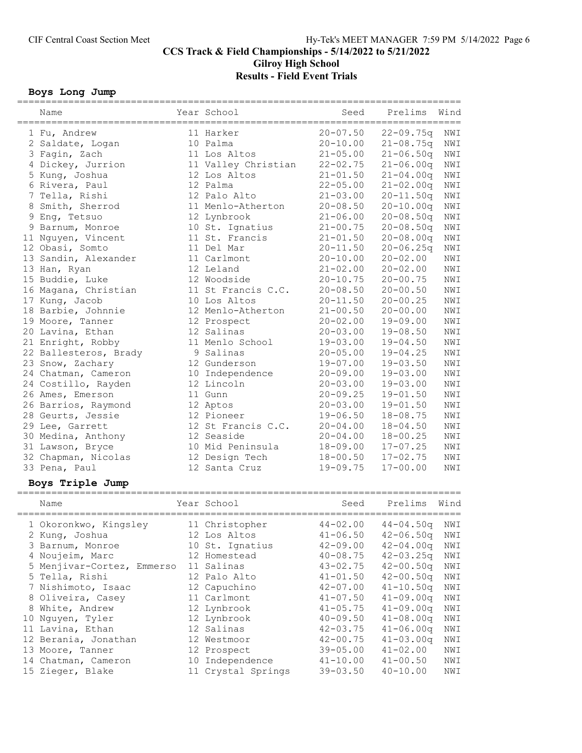# CCS Track & Field Championships - 5/14/2022 to 5/21/2022 Gilroy High School Results - Field Event Trials

#### Boys Long Jump

| Name                       | Year School         | Seed         | Prelims                  | Wind |
|----------------------------|---------------------|--------------|--------------------------|------|
| 1 Fu, Andrew               | 11 Harker           | $20 - 07.50$ | $22 - 09.75q$            | NWI  |
| 2 Saldate, Logan           | 10 Palma            | $20 - 10.00$ | $21 - 08.75q$            | NWI  |
| 3 Fagin, Zach              | 11 Los Altos        | $21 - 05.00$ | $21 - 06.50q$            | NWI  |
| 4 Dickey, Jurrion          | 11 Valley Christian | $22 - 02.75$ | $21 - 06.00q$            | NWI  |
| 5 Kung, Joshua             | 12 Los Altos        | $21 - 01.50$ | $21 - 04.00q$            | NWI  |
| 6 Rivera, Paul             | 12 Palma            | $22 - 05.00$ | $21 - 02.00q$            | NWI  |
| 7 Tella, Rishi             | 12 Palo Alto        | $21 - 03.00$ | $20 - 11.50q$            | NWI  |
| 8 Smith, Sherrod           | 11 Menlo-Atherton   | $20 - 08.50$ | $20 - 10.00q$            | NWI  |
| 9 Eng, Tetsuo              | 12 Lynbrook         | $21 - 06.00$ | $20 - 08.50q$            | NWI  |
| 9 Barnum, Monroe           | 10 St. Ignatius     | $21 - 00.75$ | $20 - 08.50q$            | NWI  |
| 11 Nguyen, Vincent         | 11 St. Francis      | $21 - 01.50$ | $20 - 08.00q$            | NWI  |
| 12 Obasi, Somto            | 11 Del Mar          | $20 - 11.50$ | $20 - 06.25q$            | NWI  |
| 13 Sandin, Alexander       | 11 Carlmont         | $20 - 10.00$ | $20 - 02.00$             | NWI  |
| 13 Han, Ryan               | 12 Leland           | $21 - 02.00$ | $20 - 02.00$             | NWI  |
| 15 Buddie, Luke            | 12 Woodside         | $20 - 10.75$ | $20 - 00.75$             | NWI  |
| 16 Magana, Christian       | 11 St Francis C.C.  | $20 - 08.50$ | $20 - 00.50$             | NWI  |
| 17 Kung, Jacob             | 10 Los Altos        | $20 - 11.50$ | $20 - 00.25$             | NWI  |
| 18 Barbie, Johnnie         | 12 Menlo-Atherton   | $21 - 00.50$ | $20 - 00.00$             | NWI  |
| 19 Moore, Tanner           | 12 Prospect         | $20 - 02.00$ | $19 - 09.00$             | NWI  |
| 20 Lavina, Ethan           | 12 Salinas          | $20 - 03.00$ | $19 - 08.50$             | NWI  |
| 21 Enright, Robby          | 11 Menlo School     | $19 - 03.00$ | $19 - 04.50$             | NWI  |
| 22 Ballesteros, Brady      | 9 Salinas           | $20 - 05.00$ | $19 - 04.25$             | NWI  |
| 23 Snow, Zachary           | 12 Gunderson        | $19 - 07.00$ | $19 - 03.50$             | NWI  |
| 24 Chatman, Cameron        | 10 Independence     | $20 - 09.00$ | $19 - 03.00$             | NWI  |
| 24 Costillo, Rayden        | 12 Lincoln          | $20 - 03.00$ | $19 - 03.00$             | NWI  |
| 26 Ames, Emerson           | 11 Gunn             | $20 - 09.25$ | $19 - 01.50$             | NWI  |
| 26 Barrios, Raymond        | 12 Aptos            | $20 - 03.00$ | $19 - 01.50$             | NWI  |
| 28 Geurts, Jessie          | 12 Pioneer          | $19 - 06.50$ | $18 - 08.75$             | NWI  |
| 29 Lee, Garrett            | 12 St Francis C.C.  | $20 - 04.00$ | $18 - 04.50$             | NWI  |
| 30 Medina, Anthony         | 12 Seaside          | $20 - 04.00$ | $18 - 00.25$             | NWI  |
| 31 Lawson, Bryce           | 10 Mid Peninsula    | $18 - 09.00$ | $17 - 07.25$             | NWI  |
| 32 Chapman, Nicolas        | 12 Design Tech      | $18 - 00.50$ | $17 - 02.75$             | NWI  |
| 33 Pena, Paul              | 12 Santa Cruz       | $19 - 09.75$ | $17 - 00.00$             | NWI  |
| Boys Triple Jump           |                     |              |                          |      |
|                            | Year School         |              | Prelims                  | Wind |
| Name                       |                     | Seed         |                          |      |
| 1 Okoronkwo, Kingsley      | 11 Christopher      |              | 44-02.00  44-04.50q  NWI |      |
| 2 Kung, Joshua             | 12 Los Altos        | $41 - 06.50$ | $42 - 06.50q$            | NWI  |
| 3 Barnum, Monroe           | 10 St. Ignatius     | $42 - 09.00$ | $42 - 04.00q$            | NWI  |
| 4 Noujeim, Marc            | 12 Homestead        | $40 - 08.75$ | $42 - 03.25q$            | NWI  |
| 5 Menjivar-Cortez, Emmerso | 11 Salinas          | $43 - 02.75$ | $42 - 00.50q$            | NWI  |
| 5 Tella, Rishi             | 12 Palo Alto        | $41 - 01.50$ | $42 - 00.50q$            | NWI  |
| 7 Nishimoto, Isaac         | 12 Capuchino        | $42 - 07.00$ | $41 - 10.50q$            | NWI  |
| 8 Oliveira, Casey          | 11 Carlmont         | $41 - 07.50$ | $41 - 09.00q$            | NWI  |
| 8 White, Andrew            | 12 Lynbrook         | $41 - 05.75$ | $41 - 09.00q$            | NWI  |
| 10 Nguyen, Tyler           | 12 Lynbrook         | $40 - 09.50$ | $41 - 08.00q$            | NWI  |
| 11 Lavina, Ethan           | 12 Salinas          | $42 - 03.75$ | $41 - 06.00q$            | NWI  |
| 12 Berania, Jonathan       | 12 Westmoor         | $42 - 00.75$ | $41 - 03.00q$            | NWI  |
| 13 Moore, Tanner           | 12 Prospect         | $39 - 05.00$ | $41 - 02.00$             | NWI  |
| 14 Chatman, Cameron        | 10 Independence     | $41 - 10.00$ | $41 - 00.50$             | NWI  |
| 15 Zieger, Blake           | 11 Crystal Springs  | $39 - 03.50$ | $40 - 10.00$             | NWI  |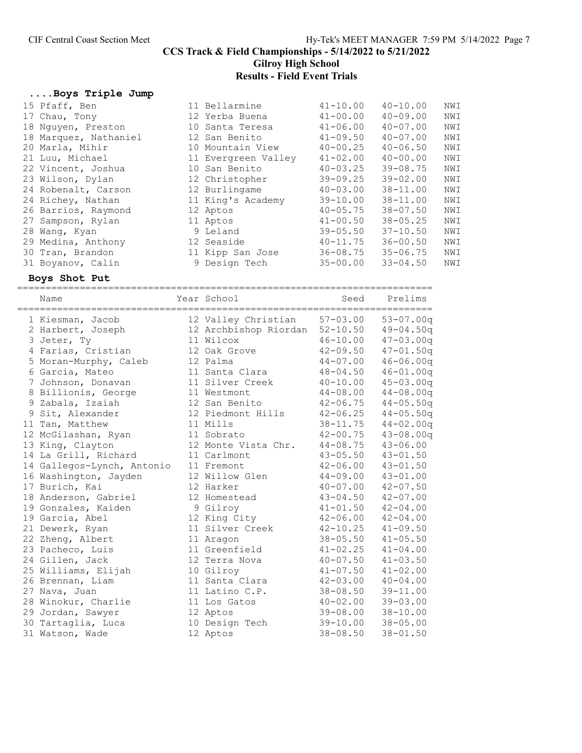# Results - Field Event Trials

#### ....Boys Triple Jump

| 15 Pfaff, Ben         | 11 Bellarmine       | $41 - 10.00$ | $40 - 10.00$ | NWI |
|-----------------------|---------------------|--------------|--------------|-----|
| 17 Chau, Tony         | 12 Yerba Buena      | $41 - 00.00$ | $40 - 09.00$ | NWI |
| 18 Nguyen, Preston    | 10 Santa Teresa     | $41 - 06.00$ | $40 - 07.00$ | NWI |
| 18 Marquez, Nathaniel | 12 San Benito       | $41 - 09.50$ | $40 - 07.00$ | NWI |
| 20 Marla, Mihir       | 10 Mountain View    | $40 - 00.25$ | $40 - 06.50$ | NWI |
| 21 Luu, Michael       | 11 Evergreen Valley | $41 - 02.00$ | $40 - 00.00$ | NWI |
| 22 Vincent, Joshua    | 10 San Benito       | $40 - 03.25$ | $39 - 08.75$ | NWI |
| 23 Wilson, Dylan      | 12 Christopher      | $39 - 09.25$ | $39 - 02.00$ | NWI |
| 24 Robenalt, Carson   | 12 Burlingame       | $40 - 03.00$ | $38 - 11.00$ | NWI |
| 24 Richey, Nathan     | 11 King's Academy   | $39 - 10.00$ | $38 - 11.00$ | NWI |
| 26 Barrios, Raymond   | 12 Aptos            | $40 - 05.75$ | $38 - 07.50$ | NWI |
| 27 Sampson, Rylan     | 11 Aptos            | $41 - 00.50$ | $38 - 05.25$ | NWI |
| 28 Wang, Kyan         | 9 Leland            | $39 - 05.50$ | $37 - 10.50$ | NWI |
| 29 Medina, Anthony    | 12 Seaside          | $40 - 11.75$ | $36 - 00.50$ | NWI |
| 30 Tran, Brandon      | 11 Kipp San Jose    | $36 - 08.75$ | $35 - 06.75$ | NWI |
| 31 Boyanov, Calin     | 9 Design Tech       | $35 - 00.00$ | $33 - 04.50$ | NWI |
|                       |                     |              |              |     |

# Boys Shot Put

=========================================================================

| Name                       | Year School           | Seed         | Prelims       |
|----------------------------|-----------------------|--------------|---------------|
| 1 Kiesman, Jacob           | 12 Valley Christian   | $57 - 03.00$ | $53 - 07.00q$ |
| 2 Harbert, Joseph          | 12 Archbishop Riordan | $52 - 10.50$ | $49 - 04.50q$ |
| 3 Jeter, Ty                | 11 Wilcox             | $46 - 10.00$ | $47 - 03.00q$ |
| 4 Farias, Cristian         | 12 Oak Grove          | $42 - 09.50$ | $47 - 01.50q$ |
| 5 Moran-Murphy, Caleb      | 12 Palma              | $44 - 07.00$ | $46 - 06.00q$ |
| 6 Garcia, Mateo            | 11 Santa Clara        | $48 - 04.50$ | $46 - 01.00q$ |
| 7 Johnson, Donavan         | 11 Silver Creek       | $40 - 10.00$ | $45 - 03.00q$ |
| 8 Billionis, George        | 11 Westmont           | $44 - 08.00$ | $44 - 08.00q$ |
| 9 Zabala, Izaiah           | 12 San Benito         | $42 - 06.75$ | $44 - 05.50q$ |
| 9 Sit, Alexander           | 12 Piedmont Hills     | $42 - 06.25$ | $44 - 05.50q$ |
| 11 Tan, Matthew            | 11 Mills              | $38 - 11.75$ | $44 - 02.00q$ |
| 12 McGilashan, Ryan        | 11 Sobrato            | $42 - 00.75$ | $43 - 08.00q$ |
| 13 King, Clayton           | 12 Monte Vista Chr.   | $44 - 08.75$ | $43 - 06.00$  |
| 14 La Grill, Richard       | 11 Carlmont           | $43 - 05.50$ | $43 - 01.50$  |
| 14 Gallegos-Lynch, Antonio | 11 Fremont            | $42 - 06.00$ | $43 - 01.50$  |
| 16 Washington, Jayden      | 12 Willow Glen        | $44 - 09.00$ | $43 - 01.00$  |
| 17 Burich, Kai             | 12 Harker             | $40 - 07.00$ | $42 - 07.50$  |
| 18 Anderson, Gabriel       | 12 Homestead          | $43 - 04.50$ | $42 - 07.00$  |
| 19 Gonzales, Kaiden        | 9 Gilroy              | $41 - 01.50$ | $42 - 04.00$  |
| 19 Garcia, Abel            | 12 King City          | $42 - 06.00$ | $42 - 04.00$  |
| 21 Dewerk, Ryan            | 11 Silver Creek       | $42 - 10.25$ | $41 - 09.50$  |
| 22 Zheng, Albert           | 11 Aragon             | $38 - 05.50$ | $41 - 05.50$  |
| 23 Pacheco, Luis           | 11 Greenfield         | $41 - 02.25$ | $41 - 04.00$  |
| 24 Gillen, Jack            | 12 Terra Nova         | $40 - 07.50$ | $41 - 03.50$  |
| 25 Williams, Elijah        | 10 Gilroy             | $41 - 07.50$ | $41 - 02.00$  |
| 26 Brennan, Liam           | 11 Santa Clara        | $42 - 03.00$ | $40 - 04.00$  |
| 27 Nava, Juan              | 11 Latino C.P.        | $38 - 08.50$ | $39 - 11.00$  |
| 28 Winokur, Charlie        | 11 Los Gatos          | $40 - 02.00$ | $39 - 03.00$  |
| 29 Jordan, Sawyer          | 12 Aptos              | $39 - 08.00$ | $38 - 10.00$  |
| 30 Tartaglia, Luca         | 10 Design Tech        | 39-10.00     | $38 - 05.00$  |
| 31 Watson, Wade            | 12 Aptos              | $38 - 08.50$ | $38 - 01.50$  |